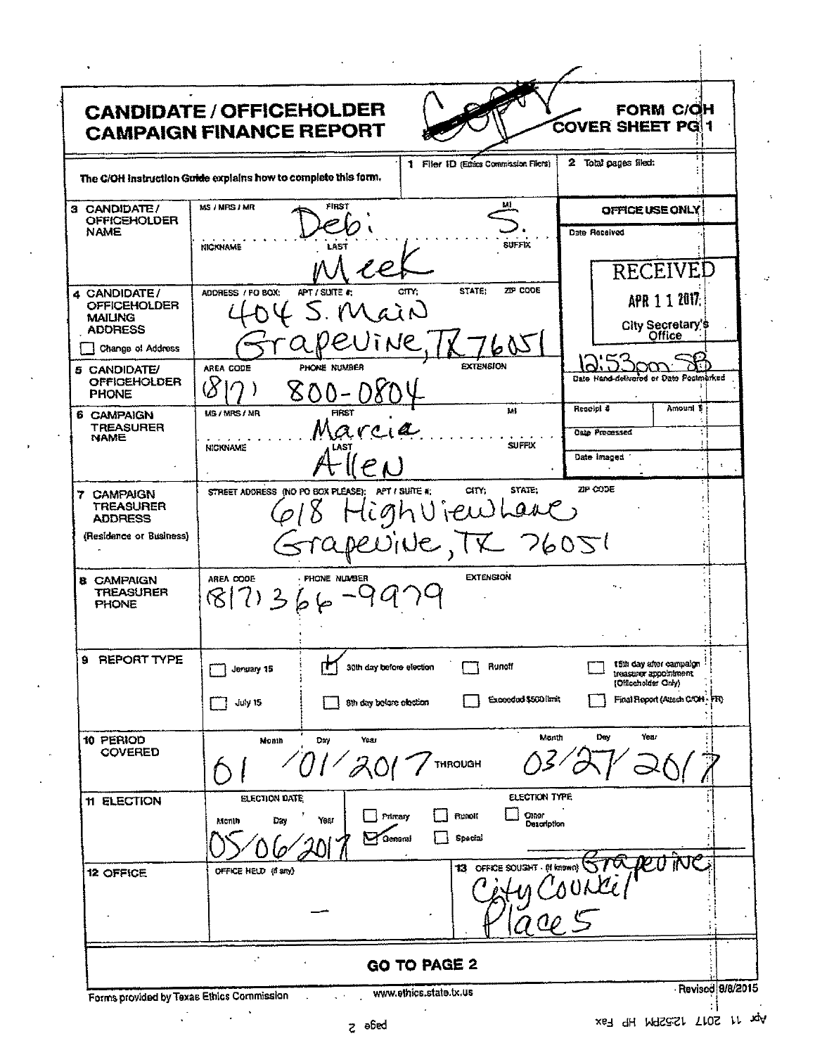| <b>CANDIDATE / OFFICEHOLDER</b><br><b>CAMPAIGN FINANCE REPORT</b> |                                      |                                                   |                        |                                       |                                              | <b>FORM C/OH</b><br>COVER SHEET PG 1                 |                            |              |
|-------------------------------------------------------------------|--------------------------------------|---------------------------------------------------|------------------------|---------------------------------------|----------------------------------------------|------------------------------------------------------|----------------------------|--------------|
| The C/OH instruction Guide explains how to complete this form.    |                                      |                                                   |                        | 1 Filer ID (Ethics Commission Filers) |                                              | 2 Total pages filed:                                 |                            |              |
| 3 CANDIDATE/<br><b>OFFICEHOLDER</b>                               | MS / MPS / MR                        | FIRST                                             |                        | мı                                    |                                              | OFFICE USE ONLY                                      |                            |              |
| NAME                                                              | <b>NICKNAME</b>                      |                                                   |                        | <b>SUFFIX</b>                         |                                              | Date Received                                        |                            |              |
| 4 CANDIDATE/                                                      | ADORESS / FO BOX:                    | APT / SUITE #:                                    | crry:                  | STATE:<br>ZIP CODE                    |                                              | RECEIVED                                             |                            |              |
| <b>OFFICEHOLDER</b><br><b>MAILING</b><br><b>ADDRESS</b>           |                                      | Lain                                              |                        |                                       |                                              | APR 1 1 2017:<br>City Secretary's                    |                            |              |
| Change of Address                                                 |                                      |                                                   | <b>NP</b>              |                                       |                                              |                                                      |                            |              |
| 5 CANDIDATE/<br><b>OFFICEHOLDER</b><br><b>PHONE</b>               | AREA CODE<br>$\mho$                  | PHONE NUMBER<br>800                               |                        | <b>EXTENSION</b>                      |                                              | Date Hand-delivated or Date Postmarked               |                            |              |
| <b>6 CAMPAIGN</b><br><b>TREASURER</b><br><b>NAME</b>              | MS/MRS/MR                            | <b>FIRST</b><br>Marcia                            |                        | Mì<br><b>SUFFIX</b>                   |                                              | Receipt &<br><b>Oste Precessed</b>                   | Amount \$<br>$\rightarrow$ |              |
|                                                                   | <b>NICKNAME</b>                      |                                                   |                        |                                       |                                              | Date images                                          |                            | $\mathbf{t}$ |
| 7 CAMPAIGN<br><b>TREASURER</b><br><b>ADDRESS</b>                  |                                      | STREET ADDRESS (NO PO BOX PLEASE); APT / SUITE #; | ghujew                 | STATE:<br>CITY:<br>La                 |                                              | ZIP CODE                                             |                            |              |
| (Residence or Business)                                           |                                      |                                                   |                        | NE, TX 76051                          |                                              |                                                      |                            |              |
| <b>8 CAMPAIGN</b><br><b>TREASURER</b><br><b>PHONE</b>             | AREA CODE<br>8 73566                 | PHONE NUMBER                                      |                        | <b>EXTENSION</b>                      |                                              | ٠.                                                   |                            |              |
| <b>REPORT TYPE</b><br>9                                           | Jenuary 15                           | 30th day before election<br>IT.                   |                        | Runotf                                |                                              | 15th day after campaign<br>treasurer appointment     |                            |              |
|                                                                   | July 15                              | 8th day before election                           |                        | Exceeded \$500 limit                  |                                              | (Officeholder Only)<br>Final Report (Attach CANH FR) |                            |              |
| 10 PERIOD<br><b>COVERED</b>                                       | Month                                | Year<br>Dw<br>700                                 |                        | <b>THROUGH</b>                        | Month                                        | Year<br>De,                                          |                            |              |
| 11 ELECTION                                                       | <b>ELECTION DATE</b><br>Day<br>Month | Primary<br>Year<br>General                        |                        | <b>Bunoff</b><br>Special              | ELECTION TYPE<br><b>Other</b><br>Description |                                                      |                            |              |
| <b>12 OFFICE</b>                                                  | OFFICE HELD (1 any)                  |                                                   |                        | 13 OFFICE SOUGHT - (If known)         |                                              |                                                      |                            |              |
|                                                                   |                                      |                                                   | <b>GO TO PAGE 2</b>    |                                       |                                              |                                                      |                            |              |
| Forms provided by Texas Ethics Commission                         |                                      |                                                   | www.ethics.state.tx.us |                                       |                                              |                                                      | Revised 9/8/2015           |              |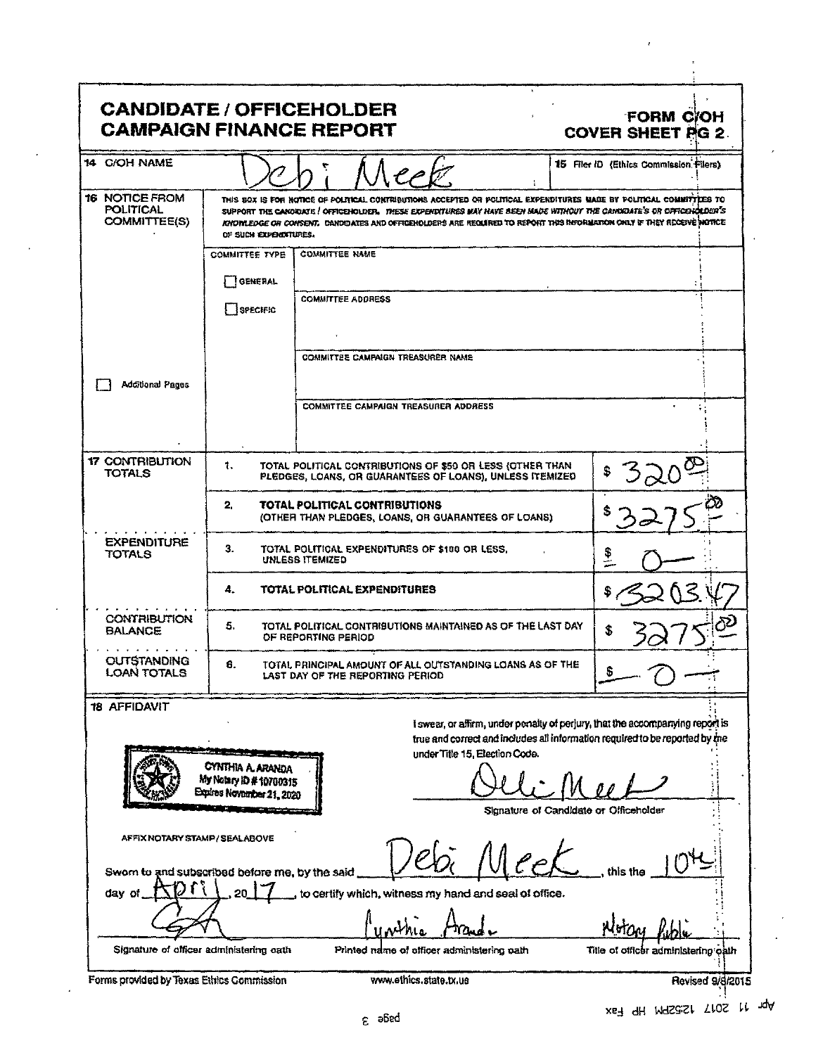| <b>CANDIDATE / OFFICEHOLDER</b><br><b>CAMPAIGN FINANCE REPORT</b>                 |                                                                                 |                                                                                                                                                                                                                                                                                                                                                                      | <b>FORM C/OH</b><br><b>COVER SHEET AG 2.</b>                                                                                                                  |
|-----------------------------------------------------------------------------------|---------------------------------------------------------------------------------|----------------------------------------------------------------------------------------------------------------------------------------------------------------------------------------------------------------------------------------------------------------------------------------------------------------------------------------------------------------------|---------------------------------------------------------------------------------------------------------------------------------------------------------------|
| 14 C/OH NAME                                                                      |                                                                                 |                                                                                                                                                                                                                                                                                                                                                                      | 15 Filer ID (Ethics Commission Filers)                                                                                                                        |
| <b>16 NOTICE FROM</b><br><b>POLITICAL</b><br><b>COMMITTEE(S)</b>                  | OF SUCH EXPENDITURES.                                                           | THIS SOX IS FOR NOTICE OF POLITICAL CONTRIBUTIONS ACCEPTED OR POLITICAL EXPENDITURES MADE BY POLITICAL COMMITTEES TO<br>SUPPORT THE CANORDATE / OFFICENDLDER. THESE EXPENDITURES MAY HAVE BEEN MADE WITHOUT THE CANDIDATE'S OR OFFICENDER'S<br>KNOMLEDGE OR CONSENT. CANDOATES AND OFFICEHOLDERS ARE REQUIRED TO REPORT THIS INFORMATION ONLY IF THEY RECEIVE WOTICE |                                                                                                                                                               |
|                                                                                   | <b>COMMITTEE TYPE</b>                                                           | <b>COMMITTEE NAME</b>                                                                                                                                                                                                                                                                                                                                                |                                                                                                                                                               |
|                                                                                   | GENERAL                                                                         |                                                                                                                                                                                                                                                                                                                                                                      |                                                                                                                                                               |
|                                                                                   | SPECIFIC                                                                        | <b>COMMITTEE ADDRESS</b>                                                                                                                                                                                                                                                                                                                                             |                                                                                                                                                               |
|                                                                                   |                                                                                 |                                                                                                                                                                                                                                                                                                                                                                      |                                                                                                                                                               |
|                                                                                   |                                                                                 | <b>COMMITTEE CAMPAIGN TREASURER NAME</b>                                                                                                                                                                                                                                                                                                                             |                                                                                                                                                               |
| <b>Additional Pages</b>                                                           |                                                                                 |                                                                                                                                                                                                                                                                                                                                                                      |                                                                                                                                                               |
|                                                                                   |                                                                                 | <b>COMMITTEE CAMPAIGN TREASURER ADDRESS</b>                                                                                                                                                                                                                                                                                                                          |                                                                                                                                                               |
| <b>17 CONTRIBUTION</b><br><b>TOTALS</b>                                           | 1.                                                                              | TOTAL POLITICAL CONTRIBUTIONS OF \$50 OR LESS (OTHER THAN<br>PLEDGES, LOANS, OR GUARANTEES OF LOANS), UNLESS ITEMIZED                                                                                                                                                                                                                                                |                                                                                                                                                               |
|                                                                                   | 2.                                                                              | TOTAL POLITICAL CONTRIBUTIONS<br>(OTHER THAN PLEDGES, LOANS, OR GUARANTEES OF LOANS)                                                                                                                                                                                                                                                                                 |                                                                                                                                                               |
| <b>EXPENDITURE</b><br><b>TOTALS</b>                                               | З.                                                                              | TOTAL POLITICAL EXPENDITURES OF \$180 OR LESS.<br><b>UNLESS ITEMIZED</b>                                                                                                                                                                                                                                                                                             | $\frac{1}{2}$                                                                                                                                                 |
|                                                                                   | 4.                                                                              | TOTAL POLITICAL EXPENDITURES                                                                                                                                                                                                                                                                                                                                         |                                                                                                                                                               |
| <b>CONTRIBUTION</b><br><b>BALANCE</b>                                             | 5.                                                                              | TOTAL POLITICAL CONTRIBUTIONS MAINTAINED AS OF THE LAST DAY<br>OF REPORTING PERIOD                                                                                                                                                                                                                                                                                   | \$                                                                                                                                                            |
| <b>OUTSTANDING</b><br><b>LOAN TOTALS</b>                                          | 8.                                                                              | TOTAL PRINCIPAL AMOUNT OF ALL OUTSTANDING LOANS AS OF THE<br>LAST DAY OF THE REPORTING PERIOD                                                                                                                                                                                                                                                                        |                                                                                                                                                               |
| <b>18 AFFIDAVIT</b>                                                               |                                                                                 |                                                                                                                                                                                                                                                                                                                                                                      | I swear, or affirm, under penalty of perjury, that the accompanying report is<br>true and correct and includes all information required to be reported by the |
|                                                                                   | <b>CYNTHIA A ARANDA</b><br>My Notary ID # 10700315<br>Expires November 21, 2020 | under Title 15, Election Code.                                                                                                                                                                                                                                                                                                                                       |                                                                                                                                                               |
| AFFIX NOTARY STAMP / SEALABOVE<br>Sworn to and subscribed before me, by the said. |                                                                                 |                                                                                                                                                                                                                                                                                                                                                                      | Signature of Candidate or Officeholdur<br>this the                                                                                                            |
| day of                                                                            |                                                                                 | to certify which, witness my hand and seal of office.                                                                                                                                                                                                                                                                                                                |                                                                                                                                                               |
| Signature of officer administering eath                                           |                                                                                 | Printed name of officer administering path                                                                                                                                                                                                                                                                                                                           | Title of officer administering oath                                                                                                                           |
| Forms provided by Texas Ethics Commission                                         |                                                                                 | www.ethics.state.tx.us                                                                                                                                                                                                                                                                                                                                               | Revised 9/8/2015                                                                                                                                              |

xe7 qH M9S2S1 T102 M Ap

 $\cdot$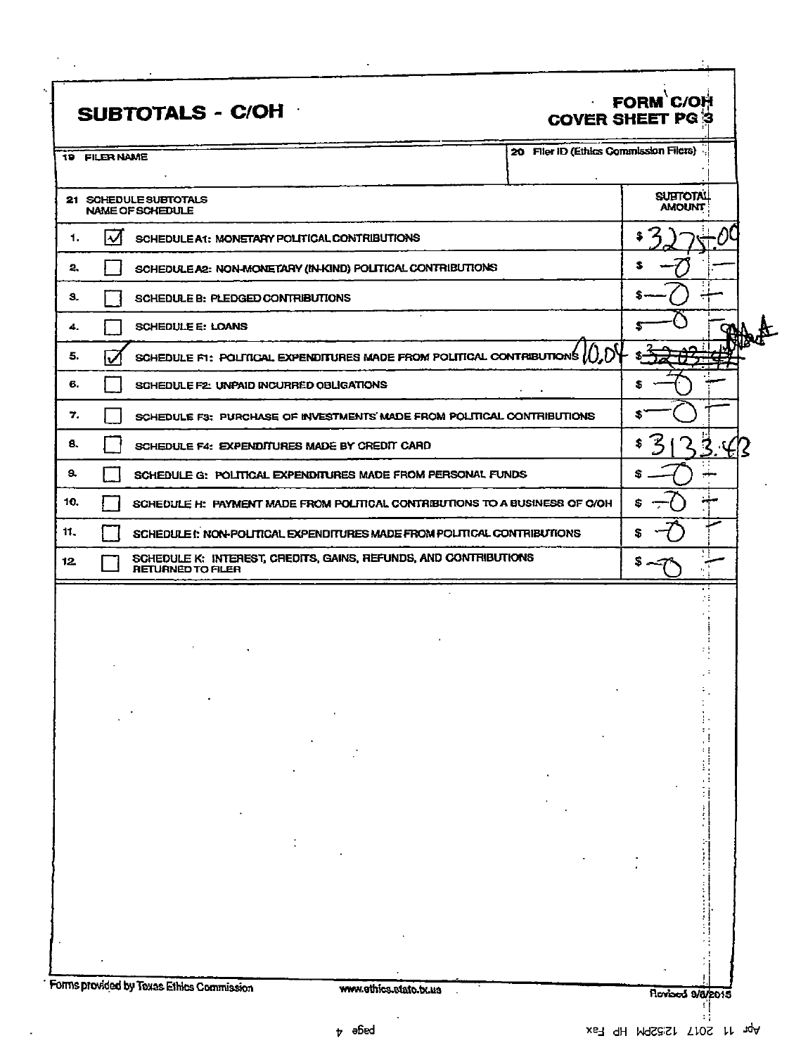|     | SUBTOTALS - C/OH                                                                             |  | $\tilde{\phantom{a}}$ | FORM C/OH<br><b>COVER SHEET PG 3</b>   |  |
|-----|----------------------------------------------------------------------------------------------|--|-----------------------|----------------------------------------|--|
|     | 19 FILER NAME                                                                                |  |                       | 20 Filer ID (Ethics Commission Filers) |  |
|     | 21 SCHEDULE SUBTOTALS<br>NAME OF SCHEDULE                                                    |  |                       | <b>SULTOTAL</b><br><b>AMOUNT</b>       |  |
| 1.  | $\boldsymbol{\mathcal{U}}$<br>SCHEDULE A1: MONETARY POLITICAL CONTRIBUTIONS                  |  |                       |                                        |  |
| 2.  | SCHEDULE A2: NON-MONETARY (IN-KIND) POLITICAL CONTRIBUTIONS                                  |  |                       |                                        |  |
| З.  | SCHEDULE B: PLEDGED CONTRIBUTIONS                                                            |  |                       |                                        |  |
| 4.  | <b>SCHEDULE E: LOANS</b>                                                                     |  |                       |                                        |  |
| 5.  | SCHEDULE FI: POLITICAL EXPENDITURES MADE FROM POLITICAL CONTRIBUTIONS $\mathcal{U}$ .        |  |                       |                                        |  |
| 6.  | SCHEDULE F2: UNPAID INCURRED OBLIGATIONS                                                     |  |                       |                                        |  |
| 7.  | SCHEDULE F3: PURCHASE OF INVESTMENTS MADE FROM POLITICAL CONTRIBUTIONS                       |  |                       |                                        |  |
| 8.  | SCHEDULE F4: EXPENDITURES MADE BY CREDIT CARD                                                |  |                       |                                        |  |
| э.  | SCHEDULE G: POLITICAL EXPENDITURES MADE FROM PERSONAL FUNDS                                  |  |                       |                                        |  |
| 10. | SCHEDULE H: PAYMENT MADE FROM POLITICAL CONTRIBUTIONS TO A BUSINESS OF C/OH                  |  |                       |                                        |  |
| 11. | SCHEDULE !: NON-POLITICAL EXPENDITURES MADE FROM POLITICAL CONTRIBUTIONS                     |  |                       |                                        |  |
| 12. | SCHEDULE K: INTEREST, CREDITS, GAINS, REFUNDS, AND CONTRIBUTIONS<br><b>RETURNED TO FILER</b> |  |                       |                                        |  |
|     |                                                                                              |  |                       |                                        |  |
|     |                                                                                              |  |                       |                                        |  |
|     |                                                                                              |  |                       |                                        |  |
|     |                                                                                              |  |                       |                                        |  |
|     |                                                                                              |  |                       |                                        |  |
|     |                                                                                              |  |                       |                                        |  |
|     |                                                                                              |  |                       |                                        |  |
|     |                                                                                              |  |                       |                                        |  |
|     |                                                                                              |  |                       |                                        |  |
|     |                                                                                              |  |                       |                                        |  |
|     |                                                                                              |  |                       |                                        |  |
|     |                                                                                              |  |                       |                                        |  |
|     | Forms provided by Texas Ethics Commission                                                    |  |                       |                                        |  |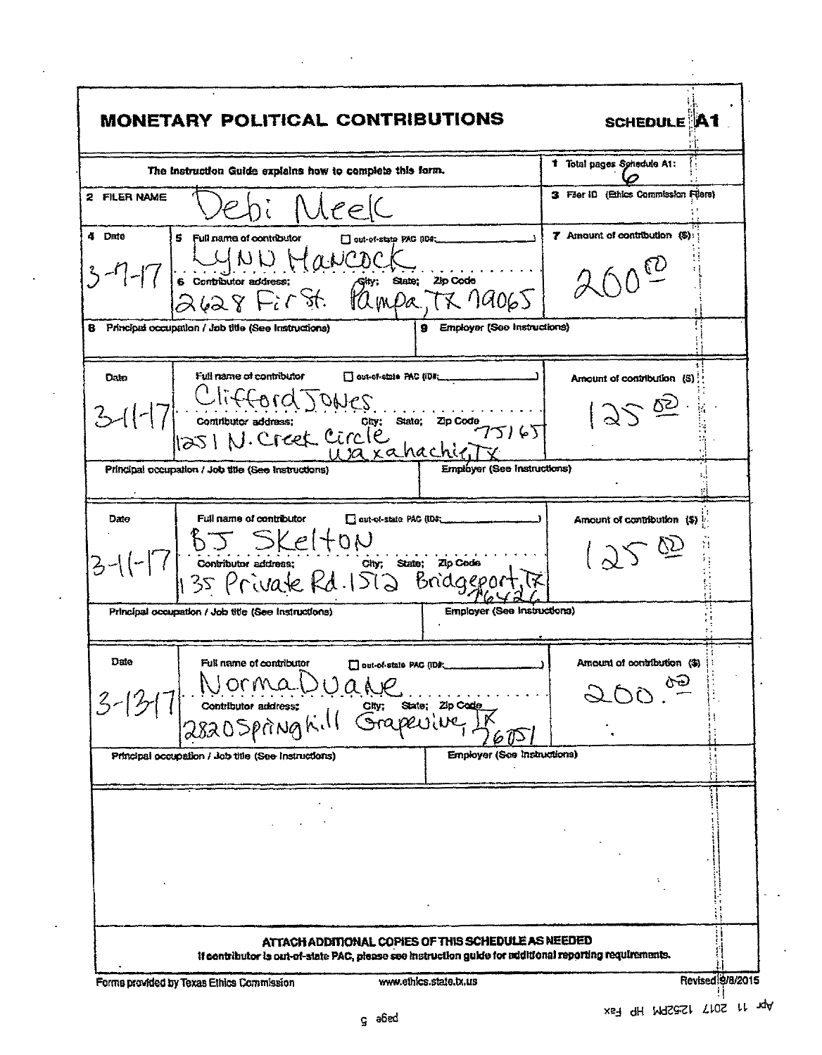| <b>MONETARY POLITICAL CONTRIBUTIONS</b>                                                                                                                                                                                               | <b>SCHEDULE A1</b>                    |                  |
|---------------------------------------------------------------------------------------------------------------------------------------------------------------------------------------------------------------------------------------|---------------------------------------|------------------|
| The instruction Guide explains how to complete this form.                                                                                                                                                                             | 1 Total pages Schedule A1:            |                  |
| 2 FILER NAME<br>Neek                                                                                                                                                                                                                  | 3 Filer ID (Ethics Commission Filers) |                  |
| 4 Date<br>5.<br>Full name of contributor<br>out-of-state PAC (ID#                                                                                                                                                                     | 7 Amount of contribution (\$):        |                  |
| $3-7-17$ 6 contributor address: $7^{40}$<br>6 contributor address: (st. 10 mpa, TX 19065                                                                                                                                              |                                       |                  |
| 9 Employer (See Instructions)<br>Principed occupation / Job title (See Instructions)<br>8                                                                                                                                             |                                       |                  |
| Full name of contributor<br>Out-of-state PAC (ID#___<br>Date                                                                                                                                                                          | Amount of contribution (S)            |                  |
| Date<br>3-11-17 Clifford JONES<br>3-11-17 Contitutor address: Circle Uza xahachien 75165                                                                                                                                              | 358                                   |                  |
| Employer (See Instructions)<br>Principal occupation / Job title (See Instructions)                                                                                                                                                    |                                       |                  |
| Full name of contributor<br>out-of-state PAC (IDS;<br>Date<br>$3-11-7$ $5-5k$ elton<br>3-11-7 continuous address: $\frac{c_{\text{top}}}{c_{\text{top}}}$ state; zip code                                                             | Amount of contribution (\$)<br>1250   |                  |
| Employer (See Instructions)<br>Principal occupation / Job title (See Instructions)                                                                                                                                                    |                                       |                  |
| Date<br>Full name of contributor<br>Out-of-state PAC (ID#<br>Dorma Duale<br>$3 - 12$<br>State; Zip Code<br>Grapevive                                                                                                                  | Amaint of contribution<br>ふへん         |                  |
| Employer (See Instructions)<br>Principal occupation / Job title (See Instructions)                                                                                                                                                    |                                       |                  |
|                                                                                                                                                                                                                                       |                                       |                  |
| ATTACH ADDITIONAL COPIES OF THIS SCHEDULE AS NEEDED<br>if contributor is out-of-state PAC, please see instruction guide for additional reporting requirements.<br>www.ethics.state.tx.us<br>Forms provided by Texas Ethics Commission |                                       | Revised 9/8/2015 |

 $\overline{a}$ 

 $\ddot{\phantom{0}}$ 

l,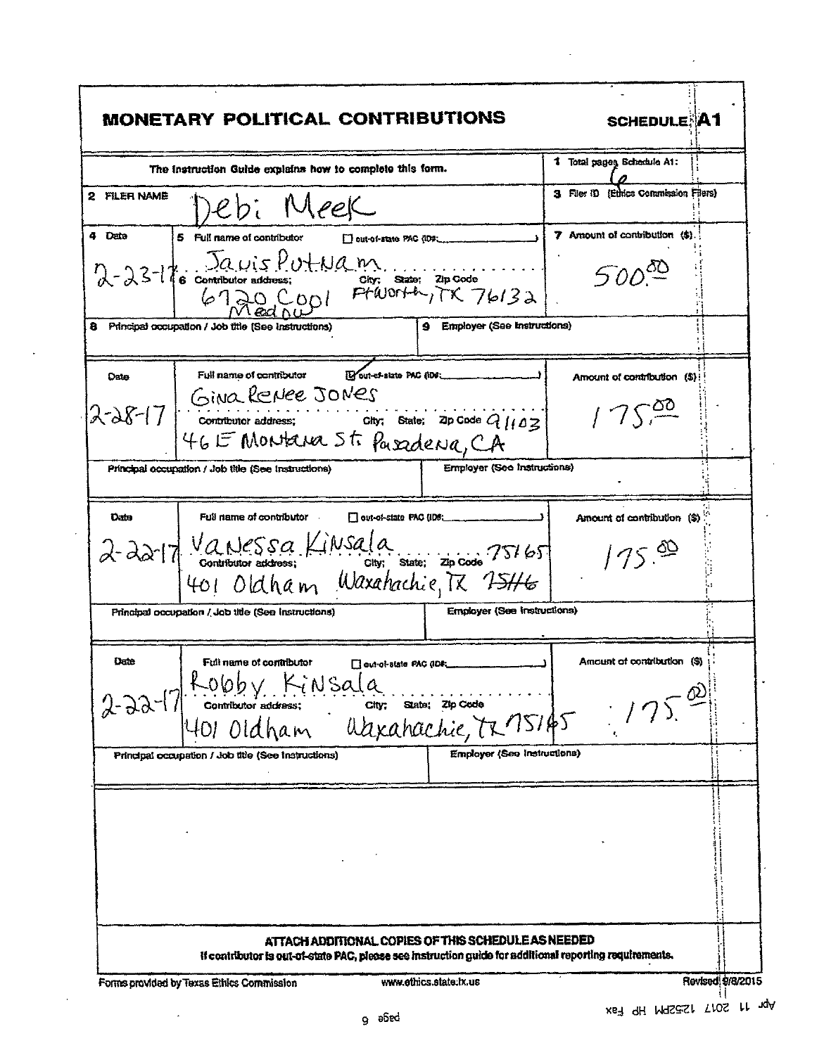| 1 Total pages Schedule A1:<br>The instruction Guide explains how to complete this form.<br>3 Filer ID (Ethics Commission Filers)<br>2 FILER NAME<br>Jebi Meek<br>7 Amount of contribution (\$).<br>4 Date<br>5 Full name of contributor<br>Dout-of-state PAC (IDP:<br>$2-23-16$ contributor address: one: State; zip code<br>6720 CODI PtWorth, TK 76132<br>$500^\circ$<br>Principal occupation / Job title (See Instructions)<br>9 Employer (See Instructions)<br>Wout-chatate PAC (ID#:<br>Full name of contributor<br>Date<br>Amount of contribution (\$)<br>2-28-17 GINO RENEE JONES<br>2-28-17 contributor address: City: State: ZIP Code 9/103<br>175 <sup>00</sup><br>46 E Montana St. Pasadena, CA<br><b>Employer (See Instructions)</b><br>Principal occupation / Job title (See Instructions)<br>Full name of contributor<br>Datu<br>out-of-state PAC (IDB:<br>Amount of contribution (\$)<br>2-22-17 Vanessa Kinsala<br>401 Oldham Waxahachie, Tx 75165<br>175.99<br><b>Employer (See Instructions)</b><br>Principal occupation / Job title (See Instructions)<br><b>Uate</b><br>Amount of contribution (\$)<br>Full name of contributor<br>∐ out-of-state PAC (ID#;<br>Robby Kinsala<br>Continuer address: City: State: Zip Code<br>401 Oldham Udxahachie, TR 15145<br>$2 - 22 - 17$<br><b>Employer (See Instructions)</b><br>Principal occupation / Job title (See Instructions)<br>ATTACH ADDITIONAL COPIES OF THIS SCHEDULE AS NEEDED<br>If contributor is out-of-state PAC, please see instruction guide for additional reporting requirements. | <b>MONETARY POLITICAL CONTRIBUTIONS</b> | <b>SCHEDULE A1</b> |
|-----------------------------------------------------------------------------------------------------------------------------------------------------------------------------------------------------------------------------------------------------------------------------------------------------------------------------------------------------------------------------------------------------------------------------------------------------------------------------------------------------------------------------------------------------------------------------------------------------------------------------------------------------------------------------------------------------------------------------------------------------------------------------------------------------------------------------------------------------------------------------------------------------------------------------------------------------------------------------------------------------------------------------------------------------------------------------------------------------------------------------------------------------------------------------------------------------------------------------------------------------------------------------------------------------------------------------------------------------------------------------------------------------------------------------------------------------------------------------------------------------------------------------------------------------------------|-----------------------------------------|--------------------|
|                                                                                                                                                                                                                                                                                                                                                                                                                                                                                                                                                                                                                                                                                                                                                                                                                                                                                                                                                                                                                                                                                                                                                                                                                                                                                                                                                                                                                                                                                                                                                                 |                                         |                    |
|                                                                                                                                                                                                                                                                                                                                                                                                                                                                                                                                                                                                                                                                                                                                                                                                                                                                                                                                                                                                                                                                                                                                                                                                                                                                                                                                                                                                                                                                                                                                                                 |                                         |                    |
|                                                                                                                                                                                                                                                                                                                                                                                                                                                                                                                                                                                                                                                                                                                                                                                                                                                                                                                                                                                                                                                                                                                                                                                                                                                                                                                                                                                                                                                                                                                                                                 |                                         |                    |
|                                                                                                                                                                                                                                                                                                                                                                                                                                                                                                                                                                                                                                                                                                                                                                                                                                                                                                                                                                                                                                                                                                                                                                                                                                                                                                                                                                                                                                                                                                                                                                 |                                         |                    |
|                                                                                                                                                                                                                                                                                                                                                                                                                                                                                                                                                                                                                                                                                                                                                                                                                                                                                                                                                                                                                                                                                                                                                                                                                                                                                                                                                                                                                                                                                                                                                                 |                                         |                    |
|                                                                                                                                                                                                                                                                                                                                                                                                                                                                                                                                                                                                                                                                                                                                                                                                                                                                                                                                                                                                                                                                                                                                                                                                                                                                                                                                                                                                                                                                                                                                                                 |                                         |                    |
|                                                                                                                                                                                                                                                                                                                                                                                                                                                                                                                                                                                                                                                                                                                                                                                                                                                                                                                                                                                                                                                                                                                                                                                                                                                                                                                                                                                                                                                                                                                                                                 |                                         |                    |
|                                                                                                                                                                                                                                                                                                                                                                                                                                                                                                                                                                                                                                                                                                                                                                                                                                                                                                                                                                                                                                                                                                                                                                                                                                                                                                                                                                                                                                                                                                                                                                 |                                         |                    |
|                                                                                                                                                                                                                                                                                                                                                                                                                                                                                                                                                                                                                                                                                                                                                                                                                                                                                                                                                                                                                                                                                                                                                                                                                                                                                                                                                                                                                                                                                                                                                                 |                                         |                    |
|                                                                                                                                                                                                                                                                                                                                                                                                                                                                                                                                                                                                                                                                                                                                                                                                                                                                                                                                                                                                                                                                                                                                                                                                                                                                                                                                                                                                                                                                                                                                                                 |                                         |                    |
|                                                                                                                                                                                                                                                                                                                                                                                                                                                                                                                                                                                                                                                                                                                                                                                                                                                                                                                                                                                                                                                                                                                                                                                                                                                                                                                                                                                                                                                                                                                                                                 |                                         |                    |
|                                                                                                                                                                                                                                                                                                                                                                                                                                                                                                                                                                                                                                                                                                                                                                                                                                                                                                                                                                                                                                                                                                                                                                                                                                                                                                                                                                                                                                                                                                                                                                 |                                         |                    |
|                                                                                                                                                                                                                                                                                                                                                                                                                                                                                                                                                                                                                                                                                                                                                                                                                                                                                                                                                                                                                                                                                                                                                                                                                                                                                                                                                                                                                                                                                                                                                                 |                                         |                    |
|                                                                                                                                                                                                                                                                                                                                                                                                                                                                                                                                                                                                                                                                                                                                                                                                                                                                                                                                                                                                                                                                                                                                                                                                                                                                                                                                                                                                                                                                                                                                                                 |                                         |                    |
|                                                                                                                                                                                                                                                                                                                                                                                                                                                                                                                                                                                                                                                                                                                                                                                                                                                                                                                                                                                                                                                                                                                                                                                                                                                                                                                                                                                                                                                                                                                                                                 |                                         |                    |
|                                                                                                                                                                                                                                                                                                                                                                                                                                                                                                                                                                                                                                                                                                                                                                                                                                                                                                                                                                                                                                                                                                                                                                                                                                                                                                                                                                                                                                                                                                                                                                 |                                         |                    |
|                                                                                                                                                                                                                                                                                                                                                                                                                                                                                                                                                                                                                                                                                                                                                                                                                                                                                                                                                                                                                                                                                                                                                                                                                                                                                                                                                                                                                                                                                                                                                                 |                                         |                    |
|                                                                                                                                                                                                                                                                                                                                                                                                                                                                                                                                                                                                                                                                                                                                                                                                                                                                                                                                                                                                                                                                                                                                                                                                                                                                                                                                                                                                                                                                                                                                                                 |                                         | Revised \$/8/2015  |

 $\mathcal{L}$ 

 $\bar{\mathcal{A}}$ 

 $\sim$   $\lambda$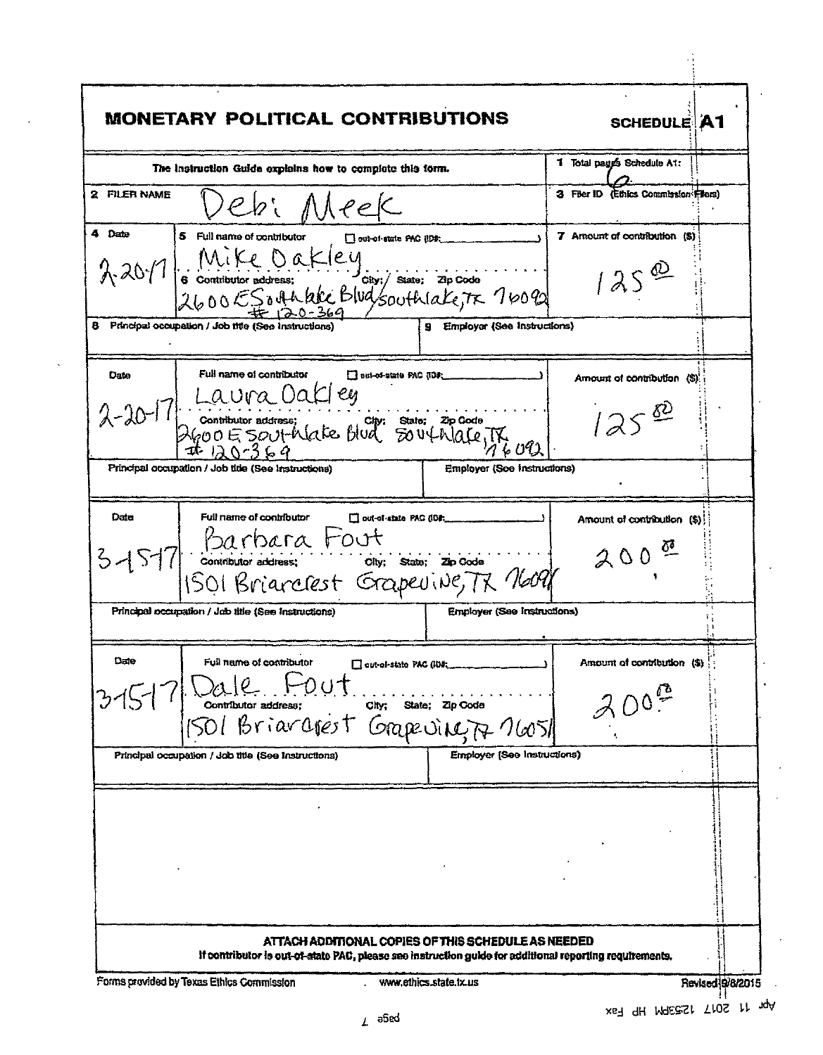| 1 Total pages Schedule A1:<br>The instruction Guida explains how to complete this form.<br>3 Filer ID (Ethics Commission From)<br>2 FILER NAME<br>ebi Meek<br>4 Date<br>7 Amount of contribution (\$)<br>5 Full name of contributor<br>out of state PAG ( $\mathbb{D}$ ); ______<br>2017 Geomethurbridges (Cakley)<br>2600 ESOMARKE Blugsouthlake, TK 7609<br>$125^{\omega}$<br>8 Principal occupation / Job this (See Instructions)<br>9 Employer (See Instructions)<br>Full name of contributor<br>Date<br>Amount of contribution (S).<br>Laura Oakley<br>Contitutor address; cap: State: Zp Godo<br>DGOOE SOUTRate Blud SOUTRALETR,<br>$2 - 20 - 1$<br>125<br>Principal occupation / Job title (See Instructions)<br><b>Employer (See Instructions)</b><br>Full name of contributor<br>Date<br>$\Box$ out-of-state PAC (IC).<br>Amount of contribution (\$)!<br>3-15-17 Barbara Fout<br>3-15-17 Contributor address: Only, State; Ze Code<br>1501 Brianclest Grapevine, Tx Novel<br>$200$ <sup><math>#</math></sup><br><b>Employer (See Instructions)</b><br>Principal occupation / Job title (See Instructions)<br>Date<br>Full name of contributor<br>Amount of contribution (\$)<br>Cout-of-state PAC (IDE<br>Lale Hout.<br>contributor address;<br>Ol Briaragest<br>$\mathbf{Chy}_1^*$<br>State; Zip Code<br>Grapeving 76051<br>Employer [See Instructions]<br>Principal occupation / Job title (See Instructions)<br>ATTACH ADDITIONAL COPIES OF THIS SCHEDULE AS NEEDED<br>if contributor is out-of-state PAC, please see instruction guide for additional reporting requirements. |  | <b>SCHEDULE A1</b> |
|---------------------------------------------------------------------------------------------------------------------------------------------------------------------------------------------------------------------------------------------------------------------------------------------------------------------------------------------------------------------------------------------------------------------------------------------------------------------------------------------------------------------------------------------------------------------------------------------------------------------------------------------------------------------------------------------------------------------------------------------------------------------------------------------------------------------------------------------------------------------------------------------------------------------------------------------------------------------------------------------------------------------------------------------------------------------------------------------------------------------------------------------------------------------------------------------------------------------------------------------------------------------------------------------------------------------------------------------------------------------------------------------------------------------------------------------------------------------------------------------------------------------------------------------------------------------------------------------|--|--------------------|
|                                                                                                                                                                                                                                                                                                                                                                                                                                                                                                                                                                                                                                                                                                                                                                                                                                                                                                                                                                                                                                                                                                                                                                                                                                                                                                                                                                                                                                                                                                                                                                                             |  |                    |
|                                                                                                                                                                                                                                                                                                                                                                                                                                                                                                                                                                                                                                                                                                                                                                                                                                                                                                                                                                                                                                                                                                                                                                                                                                                                                                                                                                                                                                                                                                                                                                                             |  |                    |
|                                                                                                                                                                                                                                                                                                                                                                                                                                                                                                                                                                                                                                                                                                                                                                                                                                                                                                                                                                                                                                                                                                                                                                                                                                                                                                                                                                                                                                                                                                                                                                                             |  |                    |
|                                                                                                                                                                                                                                                                                                                                                                                                                                                                                                                                                                                                                                                                                                                                                                                                                                                                                                                                                                                                                                                                                                                                                                                                                                                                                                                                                                                                                                                                                                                                                                                             |  |                    |
|                                                                                                                                                                                                                                                                                                                                                                                                                                                                                                                                                                                                                                                                                                                                                                                                                                                                                                                                                                                                                                                                                                                                                                                                                                                                                                                                                                                                                                                                                                                                                                                             |  |                    |
|                                                                                                                                                                                                                                                                                                                                                                                                                                                                                                                                                                                                                                                                                                                                                                                                                                                                                                                                                                                                                                                                                                                                                                                                                                                                                                                                                                                                                                                                                                                                                                                             |  |                    |
|                                                                                                                                                                                                                                                                                                                                                                                                                                                                                                                                                                                                                                                                                                                                                                                                                                                                                                                                                                                                                                                                                                                                                                                                                                                                                                                                                                                                                                                                                                                                                                                             |  |                    |
|                                                                                                                                                                                                                                                                                                                                                                                                                                                                                                                                                                                                                                                                                                                                                                                                                                                                                                                                                                                                                                                                                                                                                                                                                                                                                                                                                                                                                                                                                                                                                                                             |  |                    |
|                                                                                                                                                                                                                                                                                                                                                                                                                                                                                                                                                                                                                                                                                                                                                                                                                                                                                                                                                                                                                                                                                                                                                                                                                                                                                                                                                                                                                                                                                                                                                                                             |  |                    |
|                                                                                                                                                                                                                                                                                                                                                                                                                                                                                                                                                                                                                                                                                                                                                                                                                                                                                                                                                                                                                                                                                                                                                                                                                                                                                                                                                                                                                                                                                                                                                                                             |  |                    |
|                                                                                                                                                                                                                                                                                                                                                                                                                                                                                                                                                                                                                                                                                                                                                                                                                                                                                                                                                                                                                                                                                                                                                                                                                                                                                                                                                                                                                                                                                                                                                                                             |  |                    |
|                                                                                                                                                                                                                                                                                                                                                                                                                                                                                                                                                                                                                                                                                                                                                                                                                                                                                                                                                                                                                                                                                                                                                                                                                                                                                                                                                                                                                                                                                                                                                                                             |  |                    |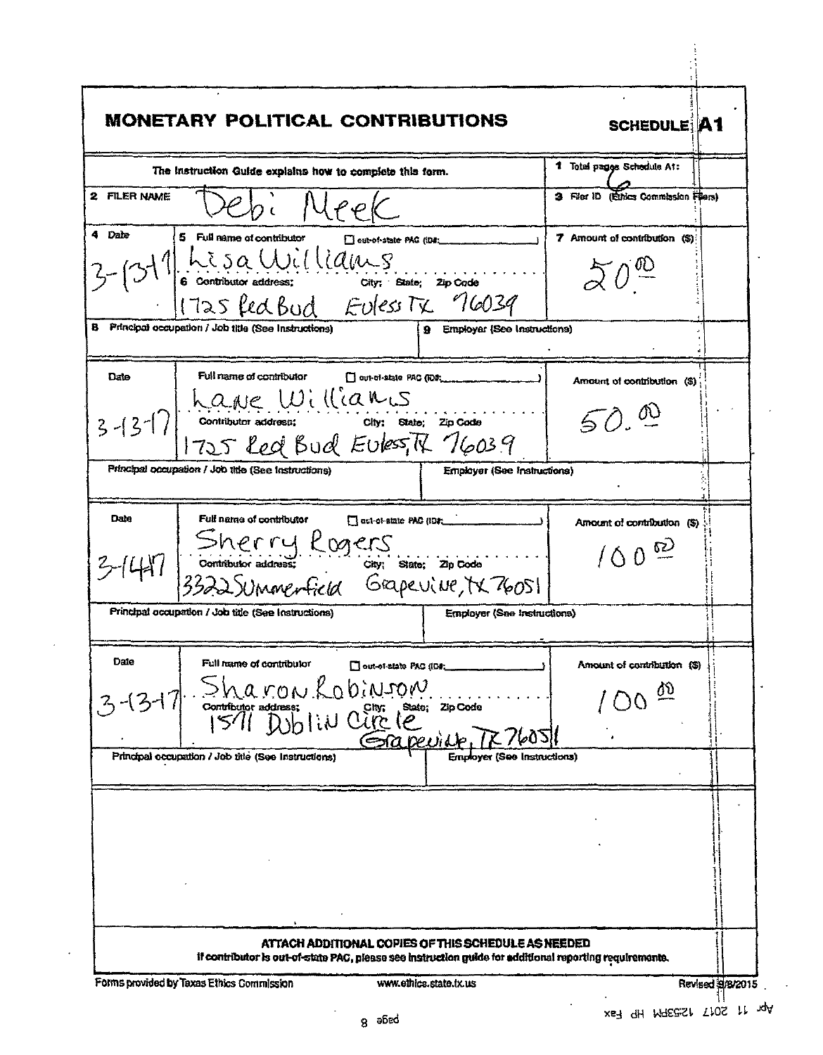| <b>MONETARY POLITICAL CONTRIBUTIONS</b>                                                                                                                        | <b>SCHEDULE A1</b>                    |  |
|----------------------------------------------------------------------------------------------------------------------------------------------------------------|---------------------------------------|--|
| The instruction Guide explains how to complete this form.                                                                                                      | 1 Total pages Schedule At:            |  |
| 2 FILER NAME<br>PPC                                                                                                                                            | 3 Filer ID (Ethics Commission Filers) |  |
| 4 Date<br>5 Full name of contributor<br>cut-of-state PAG (ID#:                                                                                                 | 7 Amount of contribution (\$)         |  |
| $3 - (31)$ his sa Williams<br>(6 contributor address: city: state; zip code)<br>(725 fed Bud Euless Tx 16039)                                                  | $50^{\circ}$                          |  |
|                                                                                                                                                                |                                       |  |
| B Principal occupation / Job title (See Instructions)<br>9 Employar (See Instructions)                                                                         |                                       |  |
| Full name of contributor<br>Date<br>out-of-state PAC (ID#                                                                                                      | Amount of contribution (\$)           |  |
| 3-13-17 have Williams<br>3-13-17 contributor address: City: State: Zip Code                                                                                    | 50.0                                  |  |
| Principal occupation / Job title (See Instructions)<br>Employer (See Instructions)                                                                             |                                       |  |
| Date<br>Full name of contributor<br>ct-of-state PAG (IDF                                                                                                       | Amount of contribution (\$)           |  |
| 3-1447 Sherry Rogers<br>3-1447 Sontitutor address: Chy: State: 2p code<br>3322 SUMMenterfield Grapevive, tx 76051                                              | 100 <sup>22</sup>                     |  |
| Principal occupation / Job title (See Instructions)<br>Employer (See Instructions)                                                                             |                                       |  |
| Date<br>Full name of contributor<br>Out-of-state PAC (ID#                                                                                                      | Amount of contribution (S)            |  |
| Sharon Lobinson<br>Continuor address: Lobinson State; 21pcode                                                                                                  |                                       |  |
| Sareville,<br>Principal occupation / Job title (See Instructions)<br>Employer (See Instructions)                                                               |                                       |  |
|                                                                                                                                                                |                                       |  |
|                                                                                                                                                                |                                       |  |
|                                                                                                                                                                |                                       |  |
|                                                                                                                                                                |                                       |  |
| ATTACH ADDITIONAL COPIES OF THIS SCHEDULE AS NEEDED<br>if contributor is out-of-state PAC, please see instruction guide for additional reporting requirements. |                                       |  |

 $\bar{\gamma}$  $\bar{\mathbf{r}}$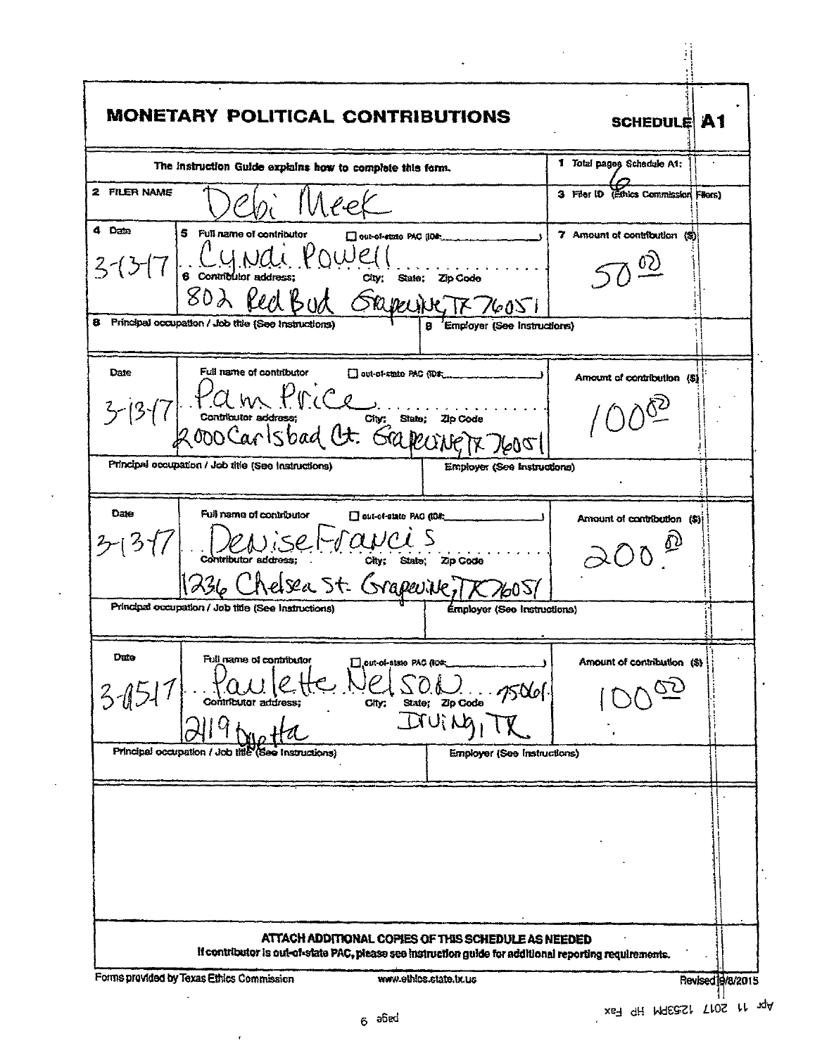| MONETARY POLITICAL CONTRIBUTIONS                                                                                                                                                                                           | <b>SCHEDULE A1</b>                                  |  |
|----------------------------------------------------------------------------------------------------------------------------------------------------------------------------------------------------------------------------|-----------------------------------------------------|--|
| The instruction Guide explains how to complete this form.                                                                                                                                                                  | 1 Total pages Schadule A1:                          |  |
| <b>2 FILER NAME</b><br>Neek                                                                                                                                                                                                | 3 Filer ID (Ethics Commission Filers)               |  |
| 4 Date<br>5 Full name of contributor<br>out-of-state PAC (IOF<br>3-13-17 G Cyntributor address: POWE(1<br>802 Red Bud Skepeine, TX 76051                                                                                   | 7 Amount of contribution (S)                        |  |
| 8 Principal occupation / Job title (See Instructions)<br>8 Employer (See Instructions)                                                                                                                                     |                                                     |  |
| Full name of contributor<br>Date<br>Out-of-state PAC (TD#:<br>3-13-17 P.a. m. P.r.ce                                                                                                                                       | Amount of contribution (\$)                         |  |
| Principal occupation / Job title (See Instructions)<br>Employer (See Instructions)                                                                                                                                         |                                                     |  |
| Date<br>Full name of contributor<br>out-of-state PAG (IOS)<br>CONSE COUCI S<br>シ(3イ/ <br>236 Chelsea St. Grapevike, 1 X 26051<br>Principal occupation / Job title (See Instructions)<br><b>Émployer (See Instructiona)</b> | Amount of contribution (\$)                         |  |
|                                                                                                                                                                                                                            |                                                     |  |
| Dute<br>Full name of contributor<br><b>Teut-of-state PAC RO&amp;</b><br>3/12<br>Zio Coda<br>Contributor address:<br>City;<br>State:<br>JUI NO                                                                              | Amount of contribution (\$)                         |  |
| Principal occupation / Job title (See Instructions)<br><b>Employer (See Instructions)</b>                                                                                                                                  |                                                     |  |
|                                                                                                                                                                                                                            |                                                     |  |
|                                                                                                                                                                                                                            | ATTACH ADDITIONAL COPIES OF THIS SCHEDULE AS NEEDED |  |

 $\hat{\mathbf{z}}$ 

 $\ddot{\phantom{a}}$ 

 $\epsilon$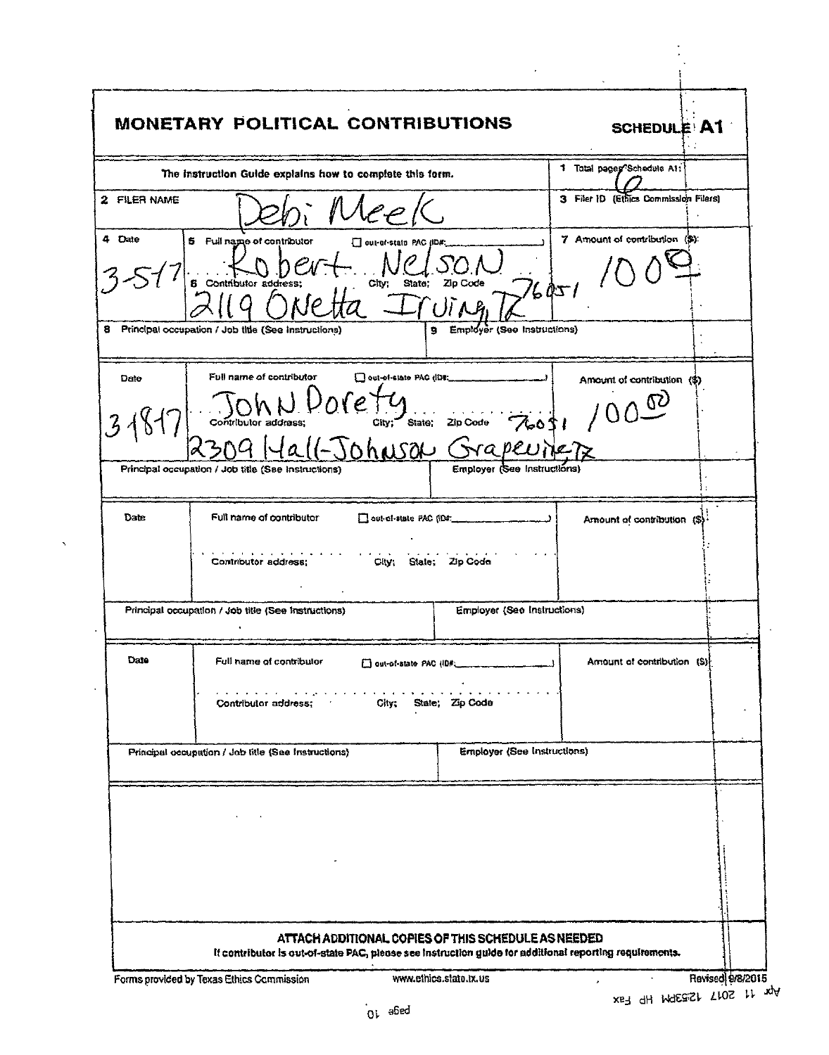|              | MONETARY POLITICAL CONTRIBUTIONS                                                               |                             | <b>SCHEDULE A1</b>                    |  |
|--------------|------------------------------------------------------------------------------------------------|-----------------------------|---------------------------------------|--|
|              | The instruction Guide explains how to complete this form.                                      |                             | 1 Total pages Schedule A1:            |  |
| 2 FILER NAME |                                                                                                |                             | 3 Filer ID (Ethics Commission Filers) |  |
| 4 Date       | 5 Full name of contributor<br>aut-of-state PAC (ID#;<br><b>6</b> Contributor address;<br>City: | State: Zip Code<br>76051    | 7 Amount of contribution (\$):        |  |
|              | 8 Principal occupation / Job title (See Instructions)<br>9                                     | Employer (See Instructions) |                                       |  |
| Date         | Full name of contributor<br>O out-of-slate PAC (IDE:<br>ore                                    |                             | Amount of contribution (\$)<br>ለሪ     |  |
|              | City: State:<br>Contributor address;<br>Sohnson Grape                                          | Zip Code<br>76051           |                                       |  |
|              | Principal occupation / Job title (See Instructions)                                            | Employer (See Instructions) |                                       |  |
| Date         | Full name of contributor<br>out-of-state PAC (ID#:<br>Contributor address;<br>City.<br>Stale:  | Zip Code                    | Amount of contribution (\$)           |  |
|              | Principal occupation / Job title (See Instructions)                                            | Employer (See Instructions) |                                       |  |
| Date         | Full name of contributor<br>out-of-state PAC (ID#)                                             |                             | Amount of contribution (\$)}          |  |
|              | Contributor address:<br>City:                                                                  | State: Zip Code             |                                       |  |
|              | Principal occupation / Job title (See Instructions)                                            | Employer (See Instructions) |                                       |  |
|              |                                                                                                |                             |                                       |  |
|              |                                                                                                |                             |                                       |  |
|              |                                                                                                |                             |                                       |  |

 $\hat{\phantom{a}}$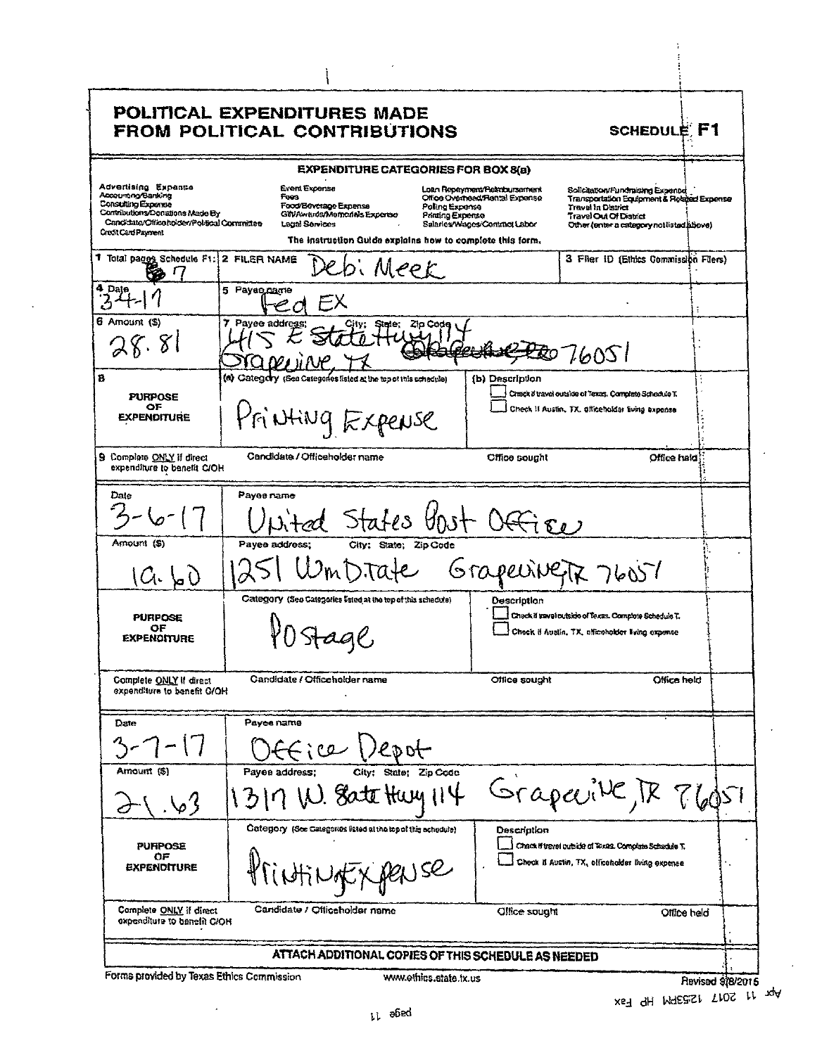| Advertising Expense                                                                                                                                |                                                                                                                                                               | <b>FROM POLITICAL CONTRIBUTIONS</b>                                                                                                                                                     | <b>SCHEDULE F1</b>                                                                                                          |
|----------------------------------------------------------------------------------------------------------------------------------------------------|---------------------------------------------------------------------------------------------------------------------------------------------------------------|-----------------------------------------------------------------------------------------------------------------------------------------------------------------------------------------|-----------------------------------------------------------------------------------------------------------------------------|
|                                                                                                                                                    | EXPENDITURE CATEGORIES FOR BOX 8(a)                                                                                                                           |                                                                                                                                                                                         |                                                                                                                             |
| Accounting/Bankling<br>Consulting Expense<br>Contributions/Donations Made By<br>Candidate/Office holder/Political Committee<br>Credit Card Payment | Event Expense<br>Fees<br>Food/Beverage Expense<br>GilVAwards/Memorials Expense<br>Legal Services<br>The instruction Quide explains how to complete this form. | Loan Repayment/Rearroutsement<br>Office Overhead: Rental Expanse<br>Poling Expense<br>Travel in District<br>Printing Expense<br>Travel Out Of District<br>Salaries/Wagos/Contract Labor | Solicitation/Fundraising Expense<br>Transportation Equipment & Relaxed Expense<br>Other (enter a category notilisted above) |
| T Total pages Schedule F1: 2 FILER NAME                                                                                                            | lebi Meek                                                                                                                                                     |                                                                                                                                                                                         | 3 Filer ID (Ethics Commission Filers)                                                                                       |
| 4 Date                                                                                                                                             | 5 Рауведате                                                                                                                                                   |                                                                                                                                                                                         |                                                                                                                             |
| 6 Amount (S)<br>28.81                                                                                                                              | 7 Payee address:<br>City;<br>State;                                                                                                                           | Zio Code<br>76051                                                                                                                                                                       |                                                                                                                             |
| <b>PURPOSE</b><br>ОF<br><b>EXPENDITURE</b>                                                                                                         | (a) Category (See Categories listed at the top of this schedule)<br>Printing Expense                                                                          | (b) Description<br>Check if travel outside of Texas. Complete Schedule T.<br>Check If Austin, TX, phiceholder living expense                                                            |                                                                                                                             |
| 9 Complete ONLY if direct<br>expenditure to benefit C/OH                                                                                           | Candidate / Officeholder name                                                                                                                                 | Office sought                                                                                                                                                                           | Office hald                                                                                                                 |
| Date                                                                                                                                               | Payes rame                                                                                                                                                    | States Vost Office                                                                                                                                                                      |                                                                                                                             |
| Amount (S)<br>(Ch. 60                                                                                                                              | City; State; Zip Code<br>Payee address:<br><i>ImDitate</i>                                                                                                    | Grapeline                                                                                                                                                                               | 76057                                                                                                                       |
| <b>PURPOSE</b><br>ОF<br><b>EXPENDITURE</b>                                                                                                         | Category (See Categories listed at the top of this schedule)<br>aqe                                                                                           | Description<br>Check if savel outside of Texas. Complete Schedule T.<br>Check if Austin, TX, afficeholder living expanse                                                                |                                                                                                                             |
| Complete ONLY if direct<br>expenditure to benefit G/OH                                                                                             | Candidate / Officeholder name                                                                                                                                 | Office sought                                                                                                                                                                           | Office held                                                                                                                 |
| Date                                                                                                                                               | Payee name<br>2.2<br>'edot-                                                                                                                                   |                                                                                                                                                                                         |                                                                                                                             |
| Amount (\$)                                                                                                                                        | State: Zip Code<br>Payee address;<br>City:<br>Sate<br>Huy114                                                                                                  | Srapeville TR                                                                                                                                                                           |                                                                                                                             |
| <b>PUFIPOSE</b><br>ОF<br><b>EXPENDITURE</b>                                                                                                        | Category (See Categories listed at the top of this schedule)                                                                                                  | Description<br>Chack if travel publide of Taxas. Complate Schackle T.<br>Check it Austin, TX, elliceholder living expense                                                               |                                                                                                                             |
| Complete ONLY if direct<br>expenditure to benefit CIOH                                                                                             | Candidate / Officeholder name                                                                                                                                 | Office sought                                                                                                                                                                           | Office held                                                                                                                 |

 $\overline{\phantom{a}}$ 

 $\sim 40^{\circ}$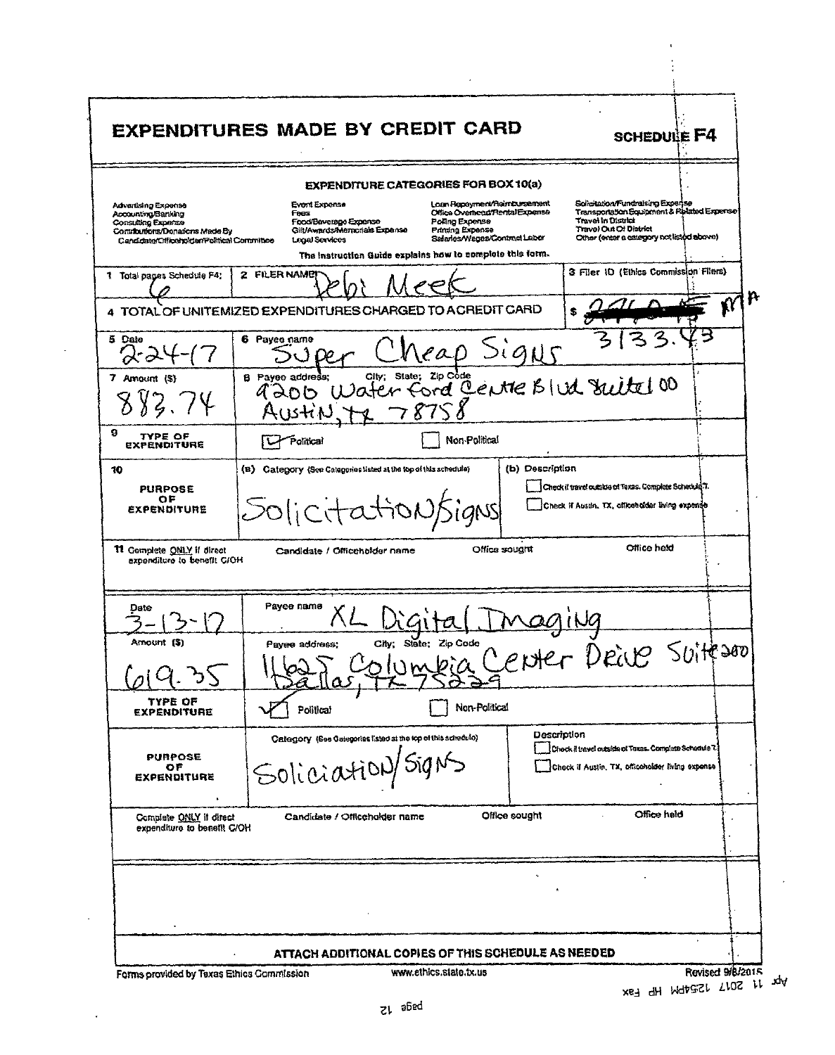|                                                                                                                                                  | <b>EXPENDITURES MADE BY CREDIT CARD</b>                                                                   |                                                              |                                                                                                                                       |                 |                                              | <b>SCHEDULE F4</b>                                                                                                           |  |
|--------------------------------------------------------------------------------------------------------------------------------------------------|-----------------------------------------------------------------------------------------------------------|--------------------------------------------------------------|---------------------------------------------------------------------------------------------------------------------------------------|-----------------|----------------------------------------------|------------------------------------------------------------------------------------------------------------------------------|--|
|                                                                                                                                                  |                                                                                                           | <b>EXPENDITURE CATEGORIES FOR BOX 10(a)</b>                  |                                                                                                                                       |                 |                                              |                                                                                                                              |  |
| Advertising Expense<br>Accounting/Banking<br>Consulting Expense<br>Contributions/Donations Made By<br>Candidate/Officeholder/Political Committee | Event Expense<br>Foos<br>Food/Beverage Experise<br>Gilt/Awards/Memorials Expense<br><b>Legal Services</b> |                                                              | Loan Repayment/Reimbursement<br>Office Overhead/Rental Expense<br>Poling Expense<br>Printing Expense<br>Selaries/Weges/Contract Labor |                 | Travel in District<br>Travel Out Of District | Solicitation/Fundraising Experise<br>Transportation Equipment & Related Expense<br>Other (enter a category not listod above) |  |
| 1 Total pages Schedule F4;                                                                                                                       | 2 FILER NAME                                                                                              | The Instruction Guide explains how to complete this form.    |                                                                                                                                       |                 |                                              | 3 Filer ID (Ethics Commission Filers)                                                                                        |  |
|                                                                                                                                                  | 4 TOTAL OF UNITEMIZED EXPENDITURES CHARGED TO A CREDIT CARD                                               |                                                              |                                                                                                                                       |                 |                                              |                                                                                                                              |  |
| 5 Date                                                                                                                                           | 6 Payee name                                                                                              |                                                              | reap Signs                                                                                                                            |                 |                                              |                                                                                                                              |  |
| 7 Amount (S)                                                                                                                                     | <b>B</b> Payee address;                                                                                   | Water ford Cente Blud Suite 00                               |                                                                                                                                       |                 |                                              |                                                                                                                              |  |
| 9<br>TYPE OF<br><b>EXPENDITURE</b>                                                                                                               | Political                                                                                                 |                                                              | Non-Political                                                                                                                         |                 |                                              |                                                                                                                              |  |
|                                                                                                                                                  |                                                                                                           |                                                              |                                                                                                                                       | (b) Description |                                              |                                                                                                                              |  |
| 10<br><b>PURPOSE</b><br>ОF<br><b>EXPENDITURE</b>                                                                                                 | (B) Category (See Categories listed at the top of this schedule)<br>Solicitationsigns                     |                                                              |                                                                                                                                       |                 |                                              | Check if travel outskie of Texas. Complete Schadule T.<br>Check if Austin, TX, officenoider living expense                   |  |
| 11 Complete ONLY if direct<br>expenditure to benefit G/OH                                                                                        | Candidate / Officeholder name                                                                             |                                                              | Office sought                                                                                                                         |                 |                                              | Office held                                                                                                                  |  |
| Dato                                                                                                                                             | Pavee name                                                                                                |                                                              |                                                                                                                                       |                 |                                              |                                                                                                                              |  |
| Amount (\$)                                                                                                                                      | Payee address;                                                                                            | Cily.                                                        | Ungleia Center Deiver Suite son                                                                                                       |                 |                                              |                                                                                                                              |  |
| TYPE OF<br><b>EXPENDITURE</b>                                                                                                                    | Political                                                                                                 |                                                              | Non-Political                                                                                                                         |                 |                                              |                                                                                                                              |  |
| <b>PURPOSE</b><br>ОF<br><b>EXPENDITURE</b>                                                                                                       | Soliciation/Signs                                                                                         | Category (See Calegorias listed at the top of this schedulo) |                                                                                                                                       | Description     |                                              | Check il travel masimen Texas. Complete Schedule T.<br>Check if Austin, TX, officeholder living expense                      |  |
| Complete ONLY if direct<br>expenditure to benefft C/OH                                                                                           | Candidate / Officeholder name                                                                             |                                                              | Office sought                                                                                                                         |                 |                                              | Office held                                                                                                                  |  |

 $\mathcal{L}$ 

 $\ddot{\phantom{0}}$ 

 $\epsilon$ 

 $\Delta_{\rm V}$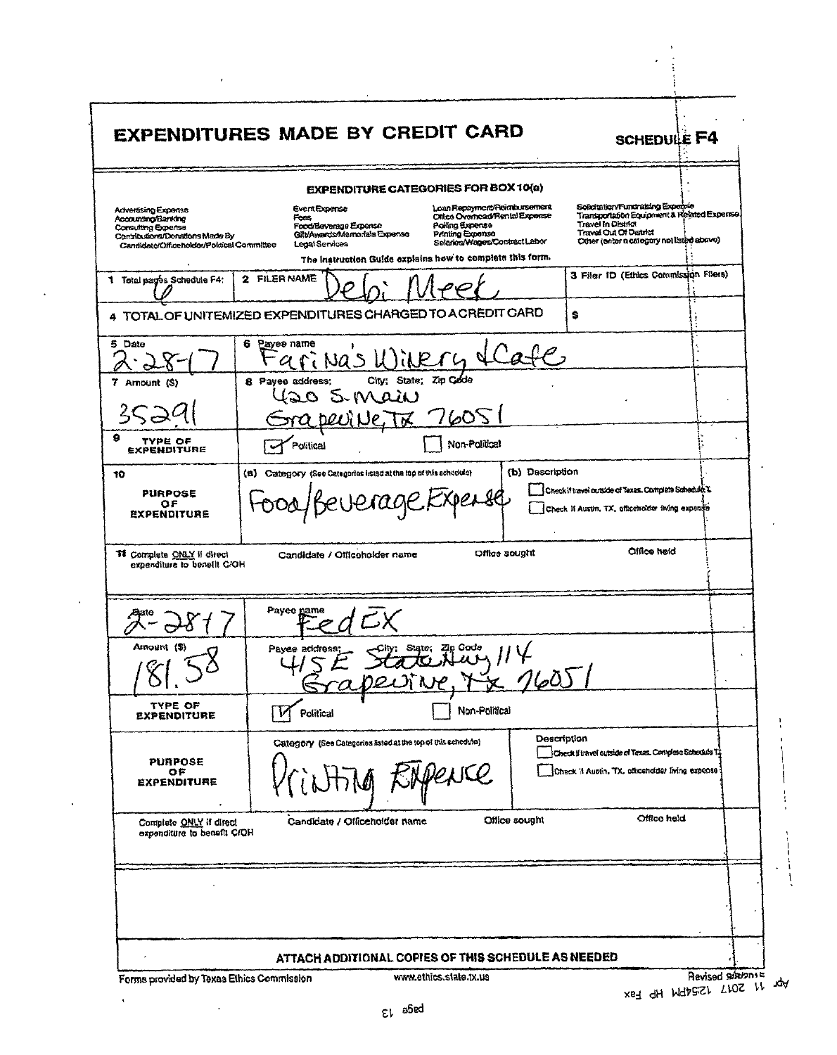|                                                                                                                                                | <b>EXPENDITURES MADE BY CREDIT CARD</b>                                                                                                                                                                                                                                                                        | <b>SCHEDULE F4</b>                                                                                                                                                                   |
|------------------------------------------------------------------------------------------------------------------------------------------------|----------------------------------------------------------------------------------------------------------------------------------------------------------------------------------------------------------------------------------------------------------------------------------------------------------------|--------------------------------------------------------------------------------------------------------------------------------------------------------------------------------------|
|                                                                                                                                                | <b>EXPENDITURE CATEGORIES FOR BOX 10(a)</b>                                                                                                                                                                                                                                                                    |                                                                                                                                                                                      |
| Advertising Expense<br>Accounting/Banking<br>Consulting Expense<br>Contributions/Donatons Made By<br>Candidate/Officeholder/Poldical Committee | Loan Repayment/Reimbursement<br><b>EventExpense</b><br>Office Overhoad/Rental Expense<br>Fees<br>Polling Exponso<br>Food/Beverage Expense<br>Gilt/Awards/Mamorials Expense<br>Printing Expense<br>Salaries/Mages/Contract Labor<br>Legal Services<br>The instruction Guide explains how to complete this form. | Solicitation/Fundralsing Experies<br>Transportation Equipment & Related Expense.<br>Travel In District<br><b>Travel Out Of District</b><br>Other (enter a category not listed above) |
| 1 Total pages Schedule F4:                                                                                                                     | 2 FILER NAME                                                                                                                                                                                                                                                                                                   | 3 Filer ID (Ethics Commission Filers)                                                                                                                                                |
|                                                                                                                                                | 4 TOTAL OF UNITEMIZED EXPENDITURES CHARGED TO ACREDIT CARD                                                                                                                                                                                                                                                     | Ŝ.                                                                                                                                                                                   |
| 5.<br>Date                                                                                                                                     | 6<br>Payee name<br>arinas Wikery                                                                                                                                                                                                                                                                               |                                                                                                                                                                                      |
| 7 Amount (S)                                                                                                                                   | City; State; Zip Code<br>8 Payee address;<br>120 S.Main<br>7605<br>स्ट्र                                                                                                                                                                                                                                       |                                                                                                                                                                                      |
| 9<br>TYPE OF<br>EXPENDITURE                                                                                                                    | Non-Political<br>Political                                                                                                                                                                                                                                                                                     |                                                                                                                                                                                      |
| 10<br><b>PURPOSE</b><br>ОF<br><b>EXPENDITURE</b>                                                                                               | (b) Description<br>(a) Category (See Categories isted at the top of this schedule)<br>jerage                                                                                                                                                                                                                   | Check if travel curside of Texas. Complete Schedule L.<br>Check if Austin, TX, officencing itving expense                                                                            |
| <b>TI</b> Complete ONLY if offect<br>expenditure to benefit C/OH                                                                               | Office sought<br>Candidate / Officeholder name                                                                                                                                                                                                                                                                 | Office held                                                                                                                                                                          |
|                                                                                                                                                | Payee name                                                                                                                                                                                                                                                                                                     |                                                                                                                                                                                      |
| Amount (\$)<br>1C <sub>1</sub>                                                                                                                 | State: Zip Code<br>Payee address:<br>7605                                                                                                                                                                                                                                                                      |                                                                                                                                                                                      |
| TYPE OF<br><b>EXPENDITURE</b>                                                                                                                  | Non-Political<br>Political                                                                                                                                                                                                                                                                                     |                                                                                                                                                                                      |
| <b>PURPOSE</b><br>OF<br><b>EXPENDITURE</b>                                                                                                     | Category (See Categories listed at the top of this schedule)<br>WCC                                                                                                                                                                                                                                            | Description<br>Check if travel outside of Texas. Complete Schedula T1<br>Check it Austin, TX, clixenoider living expense 1                                                           |
| Complete ONLY if direct<br>expenditure to benefit C/OH                                                                                         | Office sought<br>Candidate / Officeholder name                                                                                                                                                                                                                                                                 | Office held                                                                                                                                                                          |
|                                                                                                                                                |                                                                                                                                                                                                                                                                                                                |                                                                                                                                                                                      |
|                                                                                                                                                | ATTACH ADDITIONAL COPIES OF THIS SCHEDULE AS NEEDED                                                                                                                                                                                                                                                            |                                                                                                                                                                                      |
| Forms provided by Texas Ethics Commission                                                                                                      | www.ethics.slate.tx.ua                                                                                                                                                                                                                                                                                         | <b>Ravised SORV201</b><br>2017 12:54PM HP Fax                                                                                                                                        |

ᅟᆛᇉᅟᅑ

 $\overline{a}$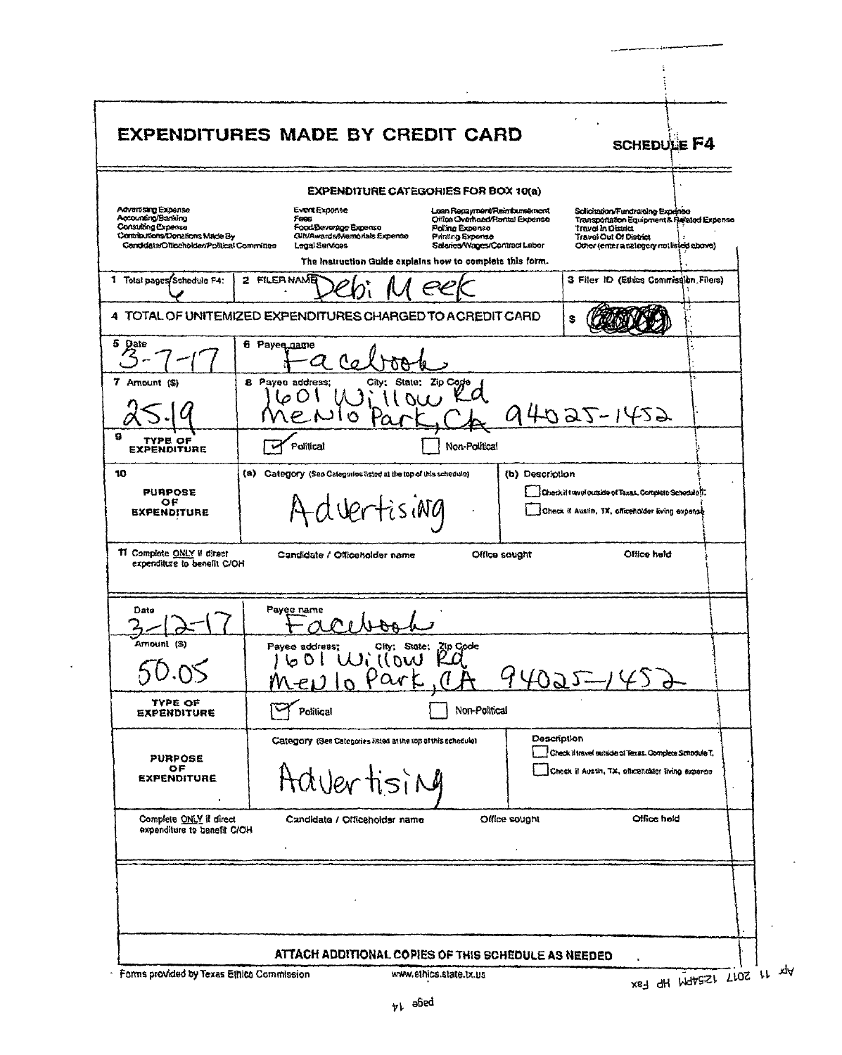| <b>EXPENDITURE CATEGORIES FOR BOX 10(a)</b><br>Advantsing Exponse<br>Evert Exponse<br>Loan Repayment/Reindumsement<br>Schotzion/Fundraising Expense<br>Accounting/Banking<br>Foes<br>Office Overhead/Rantal Expense<br>Transponsition Equipment & Related Expense<br>Consulting Expense<br>Food/Beverage Expense<br>Poling Expense<br><b>Travel In District</b><br>Contributions/Domations Made By<br><b>QIt/Awards/Memorials Expense</b><br>Printing Expense<br>Travel Out Of District<br>Salaries/Wages/Contract Labor<br>Candidata/Officeholder/Political Committee<br>Legal Services<br>Other (enter a category not listed above)<br>The Instruction Guide explains how to complete this form.<br>3 Filer ID (Ethics Commission Filers)<br>1 Total pages Schedule F4:<br>2 FILERNAMB<br>s<br>6 Payes name<br>8 Payee address;<br>State; Zio Code<br>City:<br>94025-1452<br><u>। ৩</u><br>TYPE OF<br>Non-Political<br>Political<br><b>EXPENDITURE</b><br>(a) Category (Seo Calegories listed at the top of this schedule)<br>(b) Description<br><b>PURPOSE</b><br>Check it travel outside of Texas. Complete Schedule IT.<br>ОF<br>I Vertising<br>Check if Austin, TX, officeholder kving expanse<br><b>EXPENDITURE</b><br>Office held<br>Candidate / Officeholder name<br>Office sought<br>expenditure to benefit C/OH<br>Payee name<br>Dato<br>$\ell^2 M N^2$<br>Amount (S)<br>Payee address;<br>ee address; City: State: Zip Code<br>601 Willow Rd<br>$4022 - 452$<br>Part, 7<br>Mev.<br>TYPE OF<br>Non-Political<br>Political<br><b>EXPENDITURE</b><br><b>Description</b><br>Category (See Categories listed at the top of this schedule).<br>Check il travel outside of Texas. Completa Schoolde T.<br><b>PURPOSE</b><br>OF.<br>Check if Austin, TX, officeholder living expense<br>Advertising<br><b><i>EXPENDITURE</i></b><br>Complete ONLY if direct<br>Office hold<br>Office sought<br>Candidate / Officeholder name<br>expenditure to benefit C/OH | EXPENDITURES MADE BY CREDIT CARD | <b>SCHEDULE F4</b> |
|-----------------------------------------------------------------------------------------------------------------------------------------------------------------------------------------------------------------------------------------------------------------------------------------------------------------------------------------------------------------------------------------------------------------------------------------------------------------------------------------------------------------------------------------------------------------------------------------------------------------------------------------------------------------------------------------------------------------------------------------------------------------------------------------------------------------------------------------------------------------------------------------------------------------------------------------------------------------------------------------------------------------------------------------------------------------------------------------------------------------------------------------------------------------------------------------------------------------------------------------------------------------------------------------------------------------------------------------------------------------------------------------------------------------------------------------------------------------------------------------------------------------------------------------------------------------------------------------------------------------------------------------------------------------------------------------------------------------------------------------------------------------------------------------------------------------------------------------------------------------------------------------------------------------------------------------------------------------|----------------------------------|--------------------|
|                                                                                                                                                                                                                                                                                                                                                                                                                                                                                                                                                                                                                                                                                                                                                                                                                                                                                                                                                                                                                                                                                                                                                                                                                                                                                                                                                                                                                                                                                                                                                                                                                                                                                                                                                                                                                                                                                                                                                                 |                                  |                    |
|                                                                                                                                                                                                                                                                                                                                                                                                                                                                                                                                                                                                                                                                                                                                                                                                                                                                                                                                                                                                                                                                                                                                                                                                                                                                                                                                                                                                                                                                                                                                                                                                                                                                                                                                                                                                                                                                                                                                                                 |                                  |                    |
| 4 TOTAL OF UNITEMIZED EXPENDITURES CHARGED TO ACREDIT CARD                                                                                                                                                                                                                                                                                                                                                                                                                                                                                                                                                                                                                                                                                                                                                                                                                                                                                                                                                                                                                                                                                                                                                                                                                                                                                                                                                                                                                                                                                                                                                                                                                                                                                                                                                                                                                                                                                                      |                                  |                    |
| 5 Date                                                                                                                                                                                                                                                                                                                                                                                                                                                                                                                                                                                                                                                                                                                                                                                                                                                                                                                                                                                                                                                                                                                                                                                                                                                                                                                                                                                                                                                                                                                                                                                                                                                                                                                                                                                                                                                                                                                                                          |                                  |                    |
| 7 Amount (S)<br>g<br>10<br>11 Complete ONLY if direct                                                                                                                                                                                                                                                                                                                                                                                                                                                                                                                                                                                                                                                                                                                                                                                                                                                                                                                                                                                                                                                                                                                                                                                                                                                                                                                                                                                                                                                                                                                                                                                                                                                                                                                                                                                                                                                                                                           |                                  |                    |
|                                                                                                                                                                                                                                                                                                                                                                                                                                                                                                                                                                                                                                                                                                                                                                                                                                                                                                                                                                                                                                                                                                                                                                                                                                                                                                                                                                                                                                                                                                                                                                                                                                                                                                                                                                                                                                                                                                                                                                 |                                  |                    |
|                                                                                                                                                                                                                                                                                                                                                                                                                                                                                                                                                                                                                                                                                                                                                                                                                                                                                                                                                                                                                                                                                                                                                                                                                                                                                                                                                                                                                                                                                                                                                                                                                                                                                                                                                                                                                                                                                                                                                                 |                                  |                    |
|                                                                                                                                                                                                                                                                                                                                                                                                                                                                                                                                                                                                                                                                                                                                                                                                                                                                                                                                                                                                                                                                                                                                                                                                                                                                                                                                                                                                                                                                                                                                                                                                                                                                                                                                                                                                                                                                                                                                                                 |                                  |                    |
|                                                                                                                                                                                                                                                                                                                                                                                                                                                                                                                                                                                                                                                                                                                                                                                                                                                                                                                                                                                                                                                                                                                                                                                                                                                                                                                                                                                                                                                                                                                                                                                                                                                                                                                                                                                                                                                                                                                                                                 |                                  |                    |
|                                                                                                                                                                                                                                                                                                                                                                                                                                                                                                                                                                                                                                                                                                                                                                                                                                                                                                                                                                                                                                                                                                                                                                                                                                                                                                                                                                                                                                                                                                                                                                                                                                                                                                                                                                                                                                                                                                                                                                 |                                  |                    |
|                                                                                                                                                                                                                                                                                                                                                                                                                                                                                                                                                                                                                                                                                                                                                                                                                                                                                                                                                                                                                                                                                                                                                                                                                                                                                                                                                                                                                                                                                                                                                                                                                                                                                                                                                                                                                                                                                                                                                                 |                                  |                    |
|                                                                                                                                                                                                                                                                                                                                                                                                                                                                                                                                                                                                                                                                                                                                                                                                                                                                                                                                                                                                                                                                                                                                                                                                                                                                                                                                                                                                                                                                                                                                                                                                                                                                                                                                                                                                                                                                                                                                                                 |                                  |                    |
|                                                                                                                                                                                                                                                                                                                                                                                                                                                                                                                                                                                                                                                                                                                                                                                                                                                                                                                                                                                                                                                                                                                                                                                                                                                                                                                                                                                                                                                                                                                                                                                                                                                                                                                                                                                                                                                                                                                                                                 |                                  |                    |
|                                                                                                                                                                                                                                                                                                                                                                                                                                                                                                                                                                                                                                                                                                                                                                                                                                                                                                                                                                                                                                                                                                                                                                                                                                                                                                                                                                                                                                                                                                                                                                                                                                                                                                                                                                                                                                                                                                                                                                 |                                  |                    |
|                                                                                                                                                                                                                                                                                                                                                                                                                                                                                                                                                                                                                                                                                                                                                                                                                                                                                                                                                                                                                                                                                                                                                                                                                                                                                                                                                                                                                                                                                                                                                                                                                                                                                                                                                                                                                                                                                                                                                                 |                                  |                    |

l,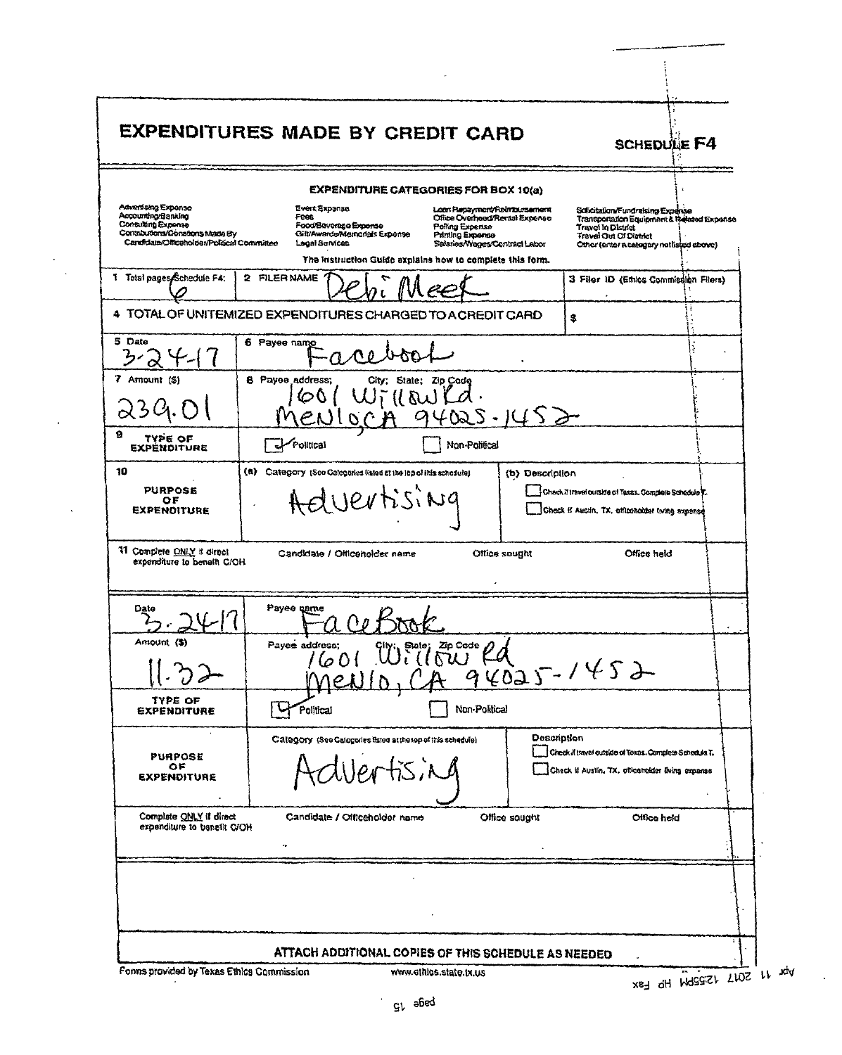| Advertising Exponse<br>Accounting/Banking<br>Consulting Expense<br>Contributions/Donations Made By<br>Candidate/Office holder/Political Committee<br>1 Total pages Schedule F4:<br>5 Date<br>7 Amount (\$)<br>239.OI<br>9<br><b>TYPE OF</b><br><b>EXPENDITURE</b><br>10<br><b>PURPOSE</b><br>ОF<br><b>EXPENOITURE</b> | <b>EXPENDITURE CATEGORIES FOR BOX 10(a)</b><br>Evert Exponse.<br>Feet<br>Food/Beverage Expense<br>CituAwards/Mamorials Exponse<br>Logal Services<br>The instruction Guide explains how to complete this form.<br>2 FILER NAME<br>4 TOTAL OF UNITEMIZED EXPENDITURES CHARGED TO A CREDIT CARD<br>6 Payee name<br>8 Payee address;<br>60<br>Pollical | Loan Repayment/Reinbursenerd<br>Office Overhead/Rental Expense<br>Poling Expense<br>Printing Expense<br>Salaries/Wages/Contract Labor<br>City; State; Zip Code<br>aW |                 | Solicitation/Fundraising Expense<br>Transportation Equipment & Related Expense<br>Travel in Disulet<br><b>Travel Out Of District</b><br>Other (enter a category not listed above)<br>3 Filer ID (Ethics Commission Filers)<br>s. |  |
|-----------------------------------------------------------------------------------------------------------------------------------------------------------------------------------------------------------------------------------------------------------------------------------------------------------------------|----------------------------------------------------------------------------------------------------------------------------------------------------------------------------------------------------------------------------------------------------------------------------------------------------------------------------------------------------|----------------------------------------------------------------------------------------------------------------------------------------------------------------------|-----------------|----------------------------------------------------------------------------------------------------------------------------------------------------------------------------------------------------------------------------------|--|
|                                                                                                                                                                                                                                                                                                                       |                                                                                                                                                                                                                                                                                                                                                    |                                                                                                                                                                      |                 |                                                                                                                                                                                                                                  |  |
|                                                                                                                                                                                                                                                                                                                       |                                                                                                                                                                                                                                                                                                                                                    |                                                                                                                                                                      |                 |                                                                                                                                                                                                                                  |  |
|                                                                                                                                                                                                                                                                                                                       |                                                                                                                                                                                                                                                                                                                                                    |                                                                                                                                                                      |                 |                                                                                                                                                                                                                                  |  |
|                                                                                                                                                                                                                                                                                                                       |                                                                                                                                                                                                                                                                                                                                                    |                                                                                                                                                                      |                 |                                                                                                                                                                                                                                  |  |
|                                                                                                                                                                                                                                                                                                                       |                                                                                                                                                                                                                                                                                                                                                    |                                                                                                                                                                      |                 |                                                                                                                                                                                                                                  |  |
|                                                                                                                                                                                                                                                                                                                       |                                                                                                                                                                                                                                                                                                                                                    | Non-Political                                                                                                                                                        |                 |                                                                                                                                                                                                                                  |  |
|                                                                                                                                                                                                                                                                                                                       | (a) Category (See Calegories listed at the lop of this schedule)<br>duertising                                                                                                                                                                                                                                                                     |                                                                                                                                                                      | (b) Description | Check if travel outside of Taxas. Complete Schedule T.<br>Check if Austin, TX, officeholder (wing expense                                                                                                                        |  |
| 11 Complete ONLY if direct<br>expenditure to benefit C/OH                                                                                                                                                                                                                                                             | Candidate / Officeholder name                                                                                                                                                                                                                                                                                                                      |                                                                                                                                                                      | Office sought   | Office held                                                                                                                                                                                                                      |  |
| Date                                                                                                                                                                                                                                                                                                                  | Payee name                                                                                                                                                                                                                                                                                                                                         |                                                                                                                                                                      |                 |                                                                                                                                                                                                                                  |  |
| Amount (S)                                                                                                                                                                                                                                                                                                            | datess;<br>1601 Willow Rd<br>MeNIO, CA 94025-1452<br>Payee address:                                                                                                                                                                                                                                                                                |                                                                                                                                                                      |                 |                                                                                                                                                                                                                                  |  |
| TYPE OF<br><b>EXPENDITURE</b>                                                                                                                                                                                                                                                                                         | Political                                                                                                                                                                                                                                                                                                                                          | Non-Political                                                                                                                                                        |                 |                                                                                                                                                                                                                                  |  |
| <b>PURPOSE</b><br>OF<br><b>EXPENDITURE</b>                                                                                                                                                                                                                                                                            | Calegory (See Calegories listed at the top of this schedule)<br>$lerfis$ , $Ad$                                                                                                                                                                                                                                                                    |                                                                                                                                                                      | Description     | Check if travel cutside of Toxas. Complete Schedula T.<br>Check if Austin, TX, officeholder Eving expanse                                                                                                                        |  |
| Complete ONLY if direct<br>expenditure to benefit C/OH                                                                                                                                                                                                                                                                | Candidate / Officeholder name                                                                                                                                                                                                                                                                                                                      |                                                                                                                                                                      | Office sought   | Office held                                                                                                                                                                                                                      |  |
|                                                                                                                                                                                                                                                                                                                       |                                                                                                                                                                                                                                                                                                                                                    |                                                                                                                                                                      |                 |                                                                                                                                                                                                                                  |  |
|                                                                                                                                                                                                                                                                                                                       | ATTACH ADDITIONAL COPIES OF THIS SCHEDULE AS NEEDED                                                                                                                                                                                                                                                                                                |                                                                                                                                                                      |                 |                                                                                                                                                                                                                                  |  |

 $\bar{a}$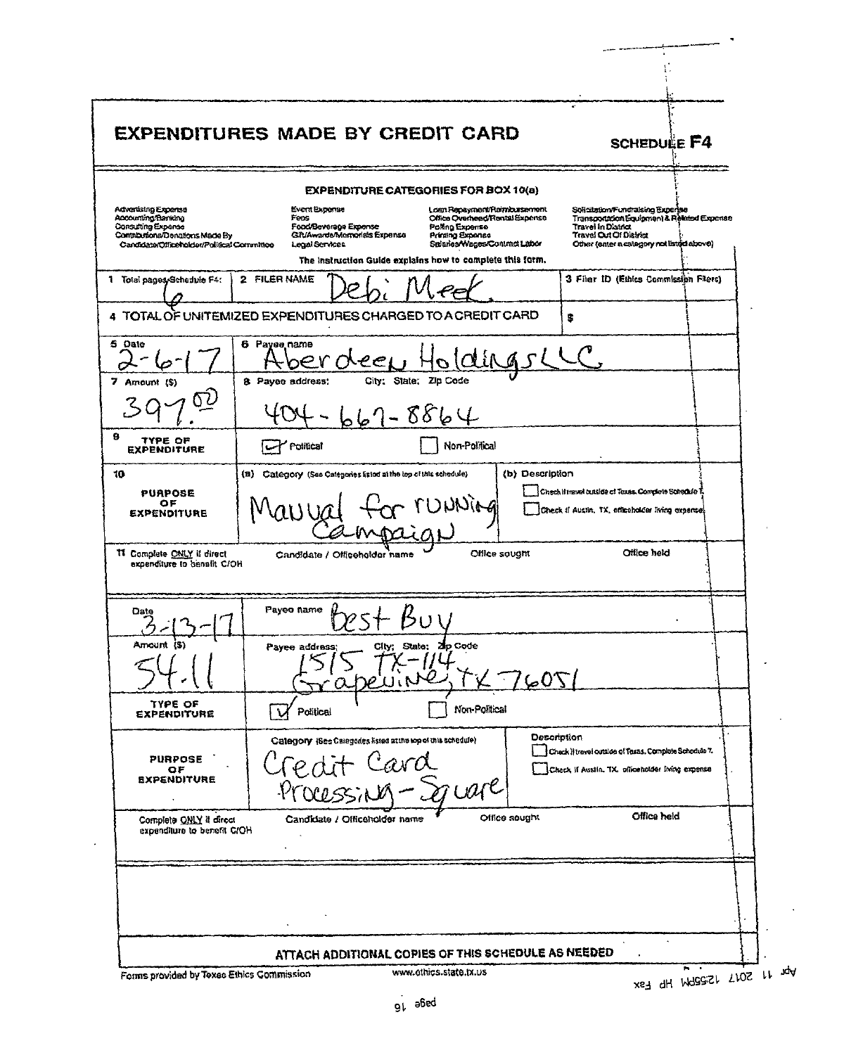|                                                                                                                                                 | <b>EXPENDITURES MADE BY CREDIT CARD</b><br><b>SCHEDULE F4</b>                                                                                                                                                                                                                                                                                                                                                                                                                                        |  |
|-------------------------------------------------------------------------------------------------------------------------------------------------|------------------------------------------------------------------------------------------------------------------------------------------------------------------------------------------------------------------------------------------------------------------------------------------------------------------------------------------------------------------------------------------------------------------------------------------------------------------------------------------------------|--|
|                                                                                                                                                 | <b>EXPENDITURE CATEGORIES FOR BOX 10(a)</b>                                                                                                                                                                                                                                                                                                                                                                                                                                                          |  |
| Advertising Expertse<br>Ancounting/Banking<br>Consulting Expanse<br>Complantons/Denations Made By<br>Candidate/Officeholder/Political Committee | Event Exponse<br>Loan Repayment/Reimbursement<br>Solicitation/Fundraising Experise<br>Transportation Equipment & Related Expanse<br>Fees<br>Office Overhead Rental Expense<br>Food/Beverage Expense<br>Polino Expense<br><b>Travel in District</b><br>Git/Awards/Momorials Expense<br><b>Printing Exponse</b><br>Travel Out Of District<br>Spieries/Wages/Contract Labor<br>Other (enter a category not listed above)<br>Legal Services<br>The instruction Guide explains how to complete this form. |  |
| 1 Total pagesySchedule F4:                                                                                                                      | 2 FILER NAME<br>3 Filer ID (Ethics Commission Filers)                                                                                                                                                                                                                                                                                                                                                                                                                                                |  |
|                                                                                                                                                 | TOTAL OF UNITEMIZED EXPENDITURES CHARGED TO A CREDIT CARD<br>Ŝ                                                                                                                                                                                                                                                                                                                                                                                                                                       |  |
| 5 Date<br>7 Amount (\$)                                                                                                                         | 6 Payee name<br>be r<br>City; State; Zip Code<br>8 Payee address;                                                                                                                                                                                                                                                                                                                                                                                                                                    |  |
|                                                                                                                                                 | $8864$                                                                                                                                                                                                                                                                                                                                                                                                                                                                                               |  |
| 9<br>TYPE OF<br>EXPENDITURE                                                                                                                     | Non-Political<br>Political                                                                                                                                                                                                                                                                                                                                                                                                                                                                           |  |
| 10<br><b>PUAPOSE</b><br>ОF<br><b>EXPENDITURE</b>                                                                                                | (b) Description<br>(B) Category (See Categories Estod at the top of this schedule)<br>Check if travel cutside of Texas. Complete Schedule T.<br>UNNING<br>Check II Austin, TX, officeholder living expensel-                                                                                                                                                                                                                                                                                         |  |
|                                                                                                                                                 |                                                                                                                                                                                                                                                                                                                                                                                                                                                                                                      |  |
| 11 Complete ONLY if direct<br>expenditure to benalit C/OH<br>Date                                                                               | Office held<br>Office sought<br>Candidate / Officeholder name<br>Payee name                                                                                                                                                                                                                                                                                                                                                                                                                          |  |
| Amount (S)                                                                                                                                      | ו ברי<br>City; State; 2p Code<br>Payee address;<br>170                                                                                                                                                                                                                                                                                                                                                                                                                                               |  |
| TYPE OF<br><b>EXPENDITURE</b>                                                                                                                   | Non-Political<br>Political                                                                                                                                                                                                                                                                                                                                                                                                                                                                           |  |
| <b>PURPOSE</b><br>ОF<br><b>EXPENDITURE</b>                                                                                                      | Description<br>Category (See Categories listed at the lop of this schedule)<br>Check if travel cutside of Texas, Complete Schedule 7.<br>Card<br>Check if Austin TX, officetuider living expense<br>Processing-Socare                                                                                                                                                                                                                                                                                |  |
| Complete QNLY if direct<br>expenditure to benefit C/OH                                                                                          | Office held<br>Office sought<br>Candidate / Officeholder name                                                                                                                                                                                                                                                                                                                                                                                                                                        |  |
|                                                                                                                                                 |                                                                                                                                                                                                                                                                                                                                                                                                                                                                                                      |  |

 $H_{\text{rad}}$